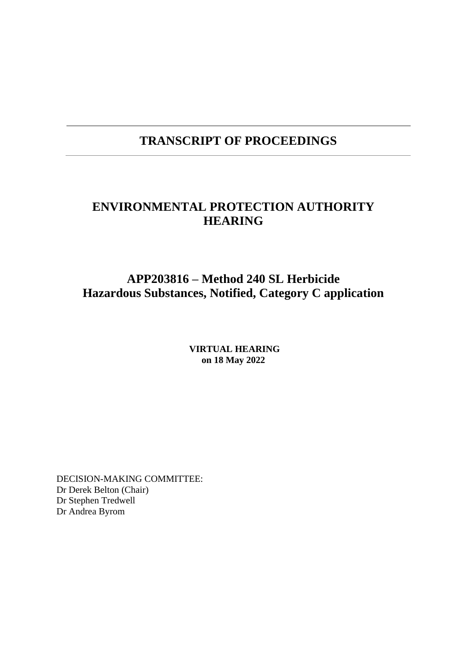## **TRANSCRIPT OF PROCEEDINGS**

## **ENVIRONMENTAL PROTECTION AUTHORITY HEARING**

## **APP203816 – Method 240 SL Herbicide Hazardous Substances, Notified, Category C application**

**VIRTUAL HEARING on 18 May 2022**

DECISION-MAKING COMMITTEE: Dr Derek Belton (Chair) Dr Stephen Tredwell Dr Andrea Byrom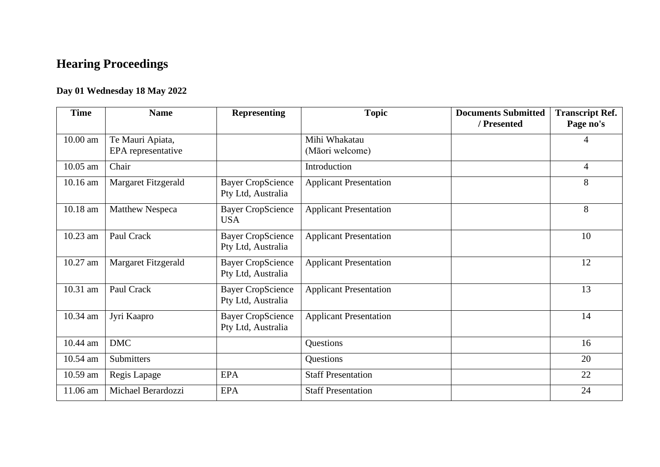# **Hearing Proceedings**

## **Day 01 Wednesday 18 May 2022**

| <b>Time</b> | <b>Name</b>                            | <b>Representing</b>                            | <b>Topic</b>                     | <b>Documents Submitted</b><br>/ Presented | <b>Transcript Ref.</b><br>Page no's |
|-------------|----------------------------------------|------------------------------------------------|----------------------------------|-------------------------------------------|-------------------------------------|
| 10.00 am    | Te Mauri Apiata,<br>EPA representative |                                                | Mihi Whakatau<br>(Māori welcome) |                                           | 4                                   |
| 10.05 am    | Chair                                  |                                                | Introduction                     |                                           | $\overline{4}$                      |
| 10.16 am    | Margaret Fitzgerald                    | <b>Bayer CropScience</b><br>Pty Ltd, Australia | <b>Applicant Presentation</b>    |                                           | 8                                   |
| 10.18 am    | <b>Matthew Nespeca</b>                 | <b>Bayer CropScience</b><br><b>USA</b>         | <b>Applicant Presentation</b>    |                                           | 8                                   |
| 10.23 am    | Paul Crack                             | <b>Bayer CropScience</b><br>Pty Ltd, Australia | <b>Applicant Presentation</b>    |                                           | 10                                  |
| 10.27 am    | Margaret Fitzgerald                    | <b>Bayer CropScience</b><br>Pty Ltd, Australia | <b>Applicant Presentation</b>    |                                           | 12                                  |
| 10.31 am    | Paul Crack                             | <b>Bayer CropScience</b><br>Pty Ltd, Australia | <b>Applicant Presentation</b>    |                                           | 13                                  |
| 10.34 am    | Jyri Kaapro                            | <b>Bayer CropScience</b><br>Pty Ltd, Australia | <b>Applicant Presentation</b>    |                                           | 14                                  |
| 10.44 am    | <b>DMC</b>                             |                                                | Questions                        |                                           | 16                                  |
| 10.54 am    | Submitters                             |                                                | Questions                        |                                           | 20                                  |
| 10.59 am    | Regis Lapage                           | <b>EPA</b>                                     | <b>Staff Presentation</b>        |                                           | 22                                  |
| 11.06 am    | Michael Berardozzi                     | <b>EPA</b>                                     | <b>Staff Presentation</b>        |                                           | 24                                  |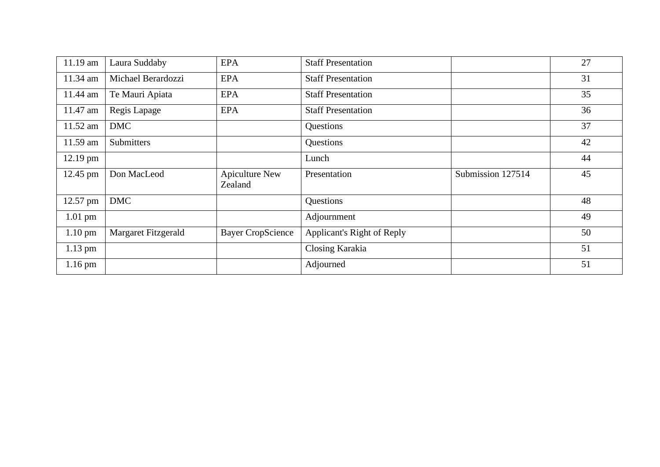| $11.19$ am        | Laura Suddaby       | <b>EPA</b>                       | <b>Staff Presentation</b>  |                   | 27 |
|-------------------|---------------------|----------------------------------|----------------------------|-------------------|----|
| 11.34 am          | Michael Berardozzi  | <b>EPA</b>                       | <b>Staff Presentation</b>  |                   | 31 |
| 11.44 am          | Te Mauri Apiata     | <b>EPA</b>                       | <b>Staff Presentation</b>  |                   | 35 |
| 11.47 am          | Regis Lapage        | <b>EPA</b>                       | <b>Staff Presentation</b>  |                   | 36 |
| 11.52 am          | <b>DMC</b>          |                                  | Questions                  |                   | 37 |
| 11.59 am          | Submitters          |                                  | Questions                  |                   | 42 |
| 12.19 pm          |                     |                                  | Lunch                      |                   | 44 |
|                   |                     |                                  |                            |                   |    |
| 12.45 pm          | Don MacLeod         | <b>Apiculture New</b><br>Zealand | Presentation               | Submission 127514 | 45 |
| 12.57 pm          | <b>DMC</b>          |                                  | Questions                  |                   | 48 |
| $1.01$ pm         |                     |                                  | Adjournment                |                   | 49 |
| $1.10 \text{ pm}$ | Margaret Fitzgerald | <b>Bayer CropScience</b>         | Applicant's Right of Reply |                   | 50 |
| $1.13$ pm         |                     |                                  | Closing Karakia            |                   | 51 |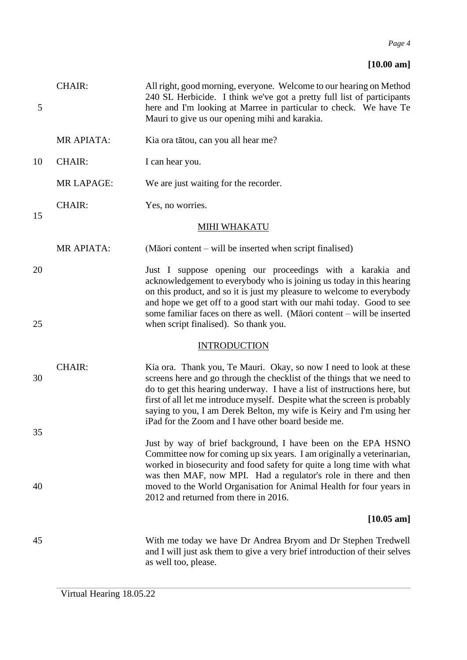## **[10.00 am]**

| 5  | <b>CHAIR:</b>     | All right, good morning, everyone. Welcome to our hearing on Method<br>240 SL Herbicide. I think we've got a pretty full list of participants<br>here and I'm looking at Marree in particular to check. We have Te<br>Mauri to give us our opening mihi and karakia.                                                                                                                                                                  |
|----|-------------------|---------------------------------------------------------------------------------------------------------------------------------------------------------------------------------------------------------------------------------------------------------------------------------------------------------------------------------------------------------------------------------------------------------------------------------------|
|    | MR APIATA:        | Kia ora tātou, can you all hear me?                                                                                                                                                                                                                                                                                                                                                                                                   |
| 10 | <b>CHAIR:</b>     | I can hear you.                                                                                                                                                                                                                                                                                                                                                                                                                       |
|    | <b>MR LAPAGE:</b> | We are just waiting for the recorder.                                                                                                                                                                                                                                                                                                                                                                                                 |
| 15 | <b>CHAIR:</b>     | Yes, no worries.                                                                                                                                                                                                                                                                                                                                                                                                                      |
|    |                   | <b>MIHI WHAKATU</b>                                                                                                                                                                                                                                                                                                                                                                                                                   |
|    | MR APIATA:        | (Māori content – will be inserted when script finalised)                                                                                                                                                                                                                                                                                                                                                                              |
| 20 |                   | Just I suppose opening our proceedings with a karakia and<br>acknowledgement to everybody who is joining us today in this hearing<br>on this product, and so it is just my pleasure to welcome to everybody<br>and hope we get off to a good start with our mahi today. Good to see<br>some familiar faces on there as well. (Māori content – will be inserted                                                                        |
| 25 |                   | when script finalised). So thank you.                                                                                                                                                                                                                                                                                                                                                                                                 |
|    |                   | <b>INTRODUCTION</b>                                                                                                                                                                                                                                                                                                                                                                                                                   |
| 30 | <b>CHAIR:</b>     | Kia ora. Thank you, Te Mauri. Okay, so now I need to look at these<br>screens here and go through the checklist of the things that we need to<br>do to get this hearing underway. I have a list of instructions here, but<br>first of all let me introduce myself. Despite what the screen is probably<br>saying to you, I am Derek Belton, my wife is Keiry and I'm using her<br>iPad for the Zoom and I have other board beside me. |
| 35 |                   | Just by way of brief background, I have been on the EPA HSNO<br>Committee now for coming up six years. I am originally a veterinarian,<br>worked in biosecurity and food safety for quite a long time with what                                                                                                                                                                                                                       |
| 40 |                   | was then MAF, now MPI. Had a regulator's role in there and then<br>moved to the World Organisation for Animal Health for four years in<br>2012 and returned from there in 2016.                                                                                                                                                                                                                                                       |
|    |                   | $[10.05 \text{ am}]$                                                                                                                                                                                                                                                                                                                                                                                                                  |
| 45 |                   | With me today we have Dr Andrea Bryom and Dr Stephen Tredwell<br>and I will just ask them to give a very brief introduction of their selves<br>as well too, please.                                                                                                                                                                                                                                                                   |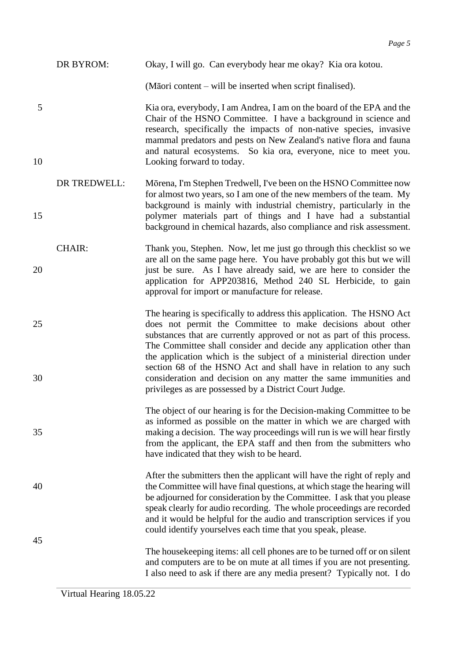| DR BYROM: |  |  | Okay, I will go. Can everybody hear me okay? Kia ora kotou. |
|-----------|--|--|-------------------------------------------------------------|
|-----------|--|--|-------------------------------------------------------------|

(Māori content – will be inserted when script finalised).

5 Kia ora, everybody, I am Andrea, I am on the board of the EPA and the Chair of the HSNO Committee. I have a background in science and research, specifically the impacts of non-native species, invasive mammal predators and pests on New Zealand's native flora and fauna and natural ecosystems. So kia ora, everyone, nice to meet you. 10 Looking forward to today.

- DR TREDWELL: Mōrena, I'm Stephen Tredwell, I've been on the HSNO Committee now for almost two years, so I am one of the new members of the team. My background is mainly with industrial chemistry, particularly in the 15 polymer materials part of things and I have had a substantial background in chemical hazards, also compliance and risk assessment.
- CHAIR: Thank you, Stephen. Now, let me just go through this checklist so we are all on the same page here. You have probably got this but we will 20 just be sure. As I have already said, we are here to consider the application for APP203816, Method 240 SL Herbicide, to gain approval for import or manufacture for release.
- The hearing is specifically to address this application. The HSNO Act 25 does not permit the Committee to make decisions about other substances that are currently approved or not as part of this process. The Committee shall consider and decide any application other than the application which is the subject of a ministerial direction under section 68 of the HSNO Act and shall have in relation to any such 30 consideration and decision on any matter the same immunities and privileges as are possessed by a District Court Judge.
- The object of our hearing is for the Decision-making Committee to be as informed as possible on the matter in which we are charged with 35 making a decision. The way proceedings will run is we will hear firstly from the applicant, the EPA staff and then from the submitters who have indicated that they wish to be heard.
- After the submitters then the applicant will have the right of reply and 40 the Committee will have final questions, at which stage the hearing will be adjourned for consideration by the Committee. I ask that you please speak clearly for audio recording. The whole proceedings are recorded and it would be helpful for the audio and transcription services if you could identify yourselves each time that you speak, please. 45
	- The housekeeping items: all cell phones are to be turned off or on silent and computers are to be on mute at all times if you are not presenting. I also need to ask if there are any media present? Typically not. I do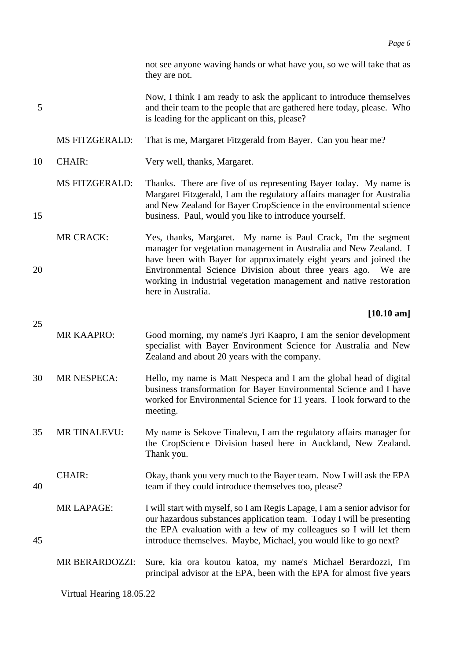not see anyone waving hands or what have you, so we will take that as they are not.

Now, I think I am ready to ask the applicant to introduce themselves 5 and their team to the people that are gathered here today, please. Who is leading for the applicant on this, please?

MS FITZGERALD: That is me, Margaret Fitzgerald from Bayer. Can you hear me?

- 10 CHAIR: Very well, thanks, Margaret.
- MS FITZGERALD: Thanks. There are five of us representing Bayer today. My name is Margaret Fitzgerald, I am the regulatory affairs manager for Australia and New Zealand for Bayer CropScience in the environmental science 15 business. Paul, would you like to introduce yourself.
- MR CRACK: Yes, thanks, Margaret. My name is Paul Crack, I'm the segment manager for vegetation management in Australia and New Zealand. I have been with Bayer for approximately eight years and joined the 20 Environmental Science Division about three years ago. We are working in industrial vegetation management and native restoration here in Australia.

### **[10.10 am]**

- MR KAAPRO: Good morning, my name's Jyri Kaapro, I am the senior development specialist with Bayer Environment Science for Australia and New Zealand and about 20 years with the company.
- 30 MR NESPECA: Hello, my name is Matt Nespeca and I am the global head of digital business transformation for Bayer Environmental Science and I have worked for Environmental Science for 11 years. I look forward to the meeting.
- 35 MR TINALEVU: My name is Sekove Tinalevu, I am the regulatory affairs manager for the CropScience Division based here in Auckland, New Zealand. Thank you.
- CHAIR: Okay, thank you very much to the Bayer team. Now I will ask the EPA 40 team if they could introduce themselves too, please?
- MR LAPAGE: I will start with myself, so I am Regis Lapage, I am a senior advisor for our hazardous substances application team. Today I will be presenting the EPA evaluation with a few of my colleagues so I will let them 45 introduce themselves. Maybe, Michael, you would like to go next?
	- MR BERARDOZZI: Sure, kia ora koutou katoa, my name's Michael Berardozzi, I'm principal advisor at the EPA, been with the EPA for almost five years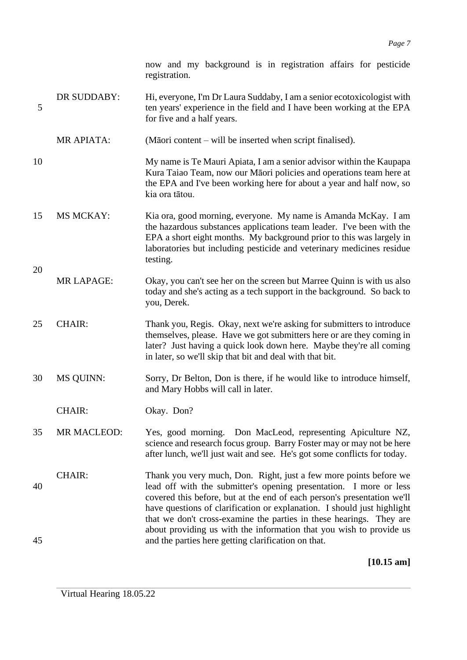now and my background is in registration affairs for pesticide registration.

- DR SUDDABY: Hi, everyone, I'm Dr Laura Suddaby, I am a senior ecotoxicologist with 5 ten years' experience in the field and I have been working at the EPA for five and a half years.
	- MR APIATA: (Māori content will be inserted when script finalised).
- 10 My name is Te Mauri Apiata, I am a senior advisor within the Kaupapa Kura Taiao Team, now our Māori policies and operations team here at the EPA and I've been working here for about a year and half now, so kia ora tātou.
- 15 MS MCKAY: Kia ora, good morning, everyone. My name is Amanda McKay. I am the hazardous substances applications team leader. I've been with the EPA a short eight months. My background prior to this was largely in laboratories but including pesticide and veterinary medicines residue testing.
- MR LAPAGE: Okay, you can't see her on the screen but Marree Quinn is with us also today and she's acting as a tech support in the background. So back to you, Derek.
- 25 CHAIR: Thank you, Regis. Okay, next we're asking for submitters to introduce themselves, please. Have we got submitters here or are they coming in later? Just having a quick look down here. Maybe they're all coming in later, so we'll skip that bit and deal with that bit.
- 30 MS QUINN: Sorry, Dr Belton, Don is there, if he would like to introduce himself, and Mary Hobbs will call in later.

CHAIR: Okay. Don?

20

- 35 MR MACLEOD: Yes, good morning. Don MacLeod, representing Apiculture NZ, science and research focus group. Barry Foster may or may not be here after lunch, we'll just wait and see. He's got some conflicts for today.
- CHAIR: Thank you very much, Don. Right, just a few more points before we 40 lead off with the submitter's opening presentation. I more or less covered this before, but at the end of each person's presentation we'll have questions of clarification or explanation. I should just highlight that we don't cross-examine the parties in these hearings. They are about providing us with the information that you wish to provide us 45 and the parties here getting clarification on that.

**[10.15 am]**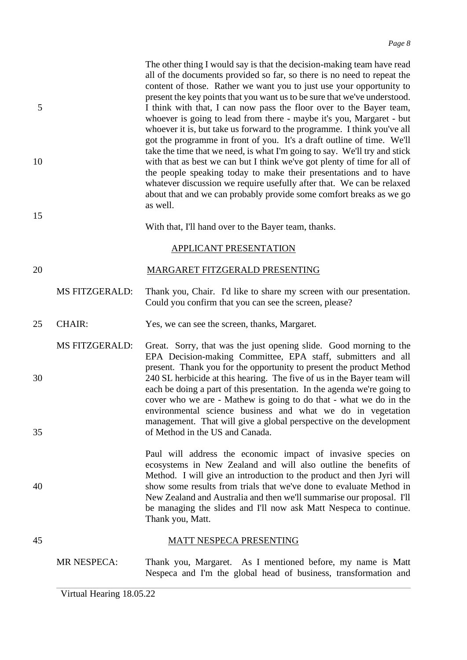The other thing I would say is that the decision-making team have read all of the documents provided so far, so there is no need to repeat the content of those. Rather we want you to just use your opportunity to present the key points that you want us to be sure that we've understood. 5 I think with that, I can now pass the floor over to the Bayer team, whoever is going to lead from there - maybe it's you, Margaret - but whoever it is, but take us forward to the programme. I think you've all got the programme in front of you. It's a draft outline of time. We'll take the time that we need, is what I'm going to say. We'll try and stick 10 with that as best we can but I think we've got plenty of time for all of the people speaking today to make their presentations and to have whatever discussion we require usefully after that. We can be relaxed about that and we can probably provide some comfort breaks as we go as well.

With that, I'll hand over to the Bayer team, thanks.

### APPLICANT PRESENTATION

### 20 MARGARET FITZGERALD PRESENTING

MS FITZGERALD: Thank you, Chair. I'd like to share my screen with our presentation. Could you confirm that you can see the screen, please?

- 25 CHAIR: Yes, we can see the screen, thanks, Margaret.
- MS FITZGERALD: Great. Sorry, that was the just opening slide. Good morning to the EPA Decision-making Committee, EPA staff, submitters and all present. Thank you for the opportunity to present the product Method 30 240 SL herbicide at this hearing. The five of us in the Bayer team will each be doing a part of this presentation. In the agenda we're going to cover who we are - Mathew is going to do that - what we do in the environmental science business and what we do in vegetation management. That will give a global perspective on the development 35 of Method in the US and Canada.

Paul will address the economic impact of invasive species on ecosystems in New Zealand and will also outline the benefits of Method. I will give an introduction to the product and then Jyri will 40 show some results from trials that we've done to evaluate Method in New Zealand and Australia and then we'll summarise our proposal. I'll be managing the slides and I'll now ask Matt Nespeca to continue. Thank you, Matt.

## 45 MATT NESPECA PRESENTING

MR NESPECA: Thank you, Margaret. As I mentioned before, my name is Matt Nespeca and I'm the global head of business, transformation and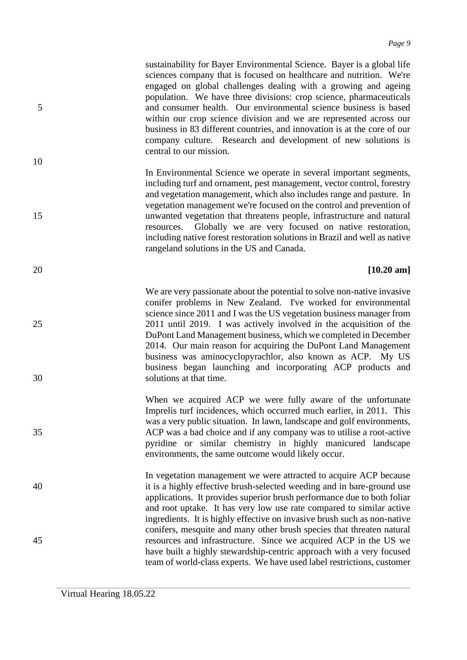sustainability for Bayer Environmental Science. Bayer is a global life sciences company that is focused on healthcare and nutrition. We're engaged on global challenges dealing with a growing and ageing population. We have three divisions: crop science, pharmaceuticals 5 and consumer health. Our environmental science business is based within our crop science division and we are represented across our business in 83 different countries, and innovation is at the core of our company culture. Research and development of new solutions is central to our mission.

In Environmental Science we operate in several important segments, including turf and ornament, pest management, vector control, forestry and vegetation management, which also includes range and pasture. In vegetation management we're focused on the control and prevention of 15 unwanted vegetation that threatens people, infrastructure and natural resources. Globally we are very focused on native restoration, including native forest restoration solutions in Brazil and well as native rangeland solutions in the US and Canada.

### 20 **[10.20 am]**

We are very passionate about the potential to solve non-native invasive conifer problems in New Zealand. I've worked for environmental science since 2011 and I was the US vegetation business manager from 25 2011 until 2019. I was actively involved in the acquisition of the DuPont Land Management business, which we completed in December 2014. Our main reason for acquiring the DuPont Land Management business was aminocyclopyrachlor, also known as ACP. My US business began launching and incorporating ACP products and 30 solutions at that time.

When we acquired ACP we were fully aware of the unfortunate Imprelis turf incidences, which occurred much earlier, in 2011. This was a very public situation. In lawn, landscape and golf environments, 35 ACP was a bad choice and if any company was to utilise a root-active pyridine or similar chemistry in highly manicured landscape environments, the same outcome would likely occur.

In vegetation management we were attracted to acquire ACP because 40 it is a highly effective brush-selected weeding and in bare-ground use applications. It provides superior brush performance due to both foliar and root uptake. It has very low use rate compared to similar active ingredients. It is highly effective on invasive brush such as non-native conifers, mesquite and many other brush species that threaten natural 45 resources and infrastructure. Since we acquired ACP in the US we have built a highly stewardship-centric approach with a very focused team of world-class experts. We have used label restrictions, customer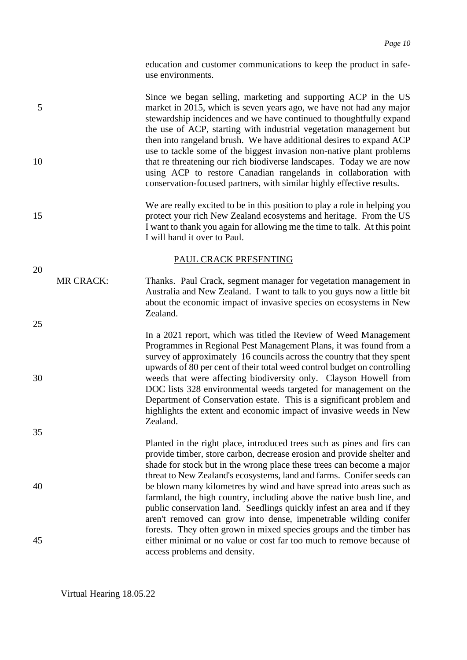education and customer communications to keep the product in safeuse environments.

Since we began selling, marketing and supporting ACP in the US 5 market in 2015, which is seven years ago, we have not had any major stewardship incidences and we have continued to thoughtfully expand the use of ACP, starting with industrial vegetation management but then into rangeland brush. We have additional desires to expand ACP use to tackle some of the biggest invasion non-native plant problems 10 that re threatening our rich biodiverse landscapes. Today we are now using ACP to restore Canadian rangelands in collaboration with conservation-focused partners, with similar highly effective results.

We are really excited to be in this position to play a role in helping you 15 protect your rich New Zealand ecosystems and heritage. From the US I want to thank you again for allowing me the time to talk. At this point I will hand it over to Paul.

> Australia and New Zealand. I want to talk to you guys now a little bit about the economic impact of invasive species on ecosystems in New

> In a 2021 report, which was titled the Review of Weed Management Programmes in Regional Pest Management Plans, it was found from a survey of approximately 16 councils across the country that they spent upwards of 80 per cent of their total weed control budget on controlling

> DOC lists 328 environmental weeds targeted for management on the Department of Conservation estate. This is a significant problem and highlights the extent and economic impact of invasive weeds in New

### PAUL CRACK PRESENTING

Zealand.

Zealand.

- 20 MR CRACK: Thanks. Paul Crack, segment manager for vegetation management in
- 25
- 
- 30 weeds that were affecting biodiversity only. Clayson Howell from

35

Planted in the right place, introduced trees such as pines and firs can provide timber, store carbon, decrease erosion and provide shelter and shade for stock but in the wrong place these trees can become a major threat to New Zealand's ecosystems, land and farms. Conifer seeds can 40 be blown many kilometres by wind and have spread into areas such as farmland, the high country, including above the native bush line, and public conservation land. Seedlings quickly infest an area and if they aren't removed can grow into dense, impenetrable wilding conifer forests. They often grown in mixed species groups and the timber has 45 either minimal or no value or cost far too much to remove because of access problems and density.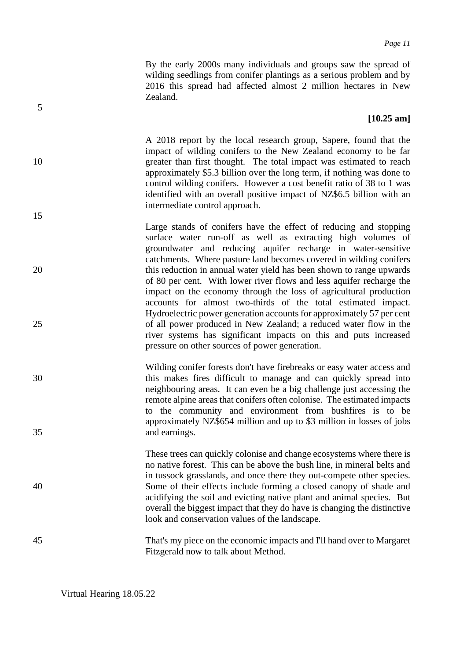By the early 2000s many individuals and groups saw the spread of wilding seedlings from conifer plantings as a serious problem and by 2016 this spread had affected almost 2 million hectares in New Zealand.

### **[10.25 am]**

A 2018 report by the local research group, Sapere, found that the impact of wilding conifers to the New Zealand economy to be far 10 greater than first thought. The total impact was estimated to reach approximately \$5.3 billion over the long term, if nothing was done to control wilding conifers. However a cost benefit ratio of 38 to 1 was identified with an overall positive impact of NZ\$6.5 billion with an intermediate control approach.

Large stands of conifers have the effect of reducing and stopping surface water run-off as well as extracting high volumes of groundwater and reducing aquifer recharge in water-sensitive catchments. Where pasture land becomes covered in wilding conifers 20 this reduction in annual water yield has been shown to range upwards of 80 per cent. With lower river flows and less aquifer recharge the impact on the economy through the loss of agricultural production accounts for almost two-thirds of the total estimated impact. Hydroelectric power generation accounts for approximately 57 per cent 25 of all power produced in New Zealand; a reduced water flow in the river systems has significant impacts on this and puts increased pressure on other sources of power generation.

Wilding conifer forests don't have firebreaks or easy water access and 30 this makes fires difficult to manage and can quickly spread into neighbouring areas. It can even be a big challenge just accessing the remote alpine areas that conifers often colonise. The estimated impacts to the community and environment from bushfires is to be approximately NZ\$654 million and up to \$3 million in losses of jobs 35 and earnings.

These trees can quickly colonise and change ecosystems where there is no native forest. This can be above the bush line, in mineral belts and in tussock grasslands, and once there they out-compete other species. 40 Some of their effects include forming a closed canopy of shade and acidifying the soil and evicting native plant and animal species. But overall the biggest impact that they do have is changing the distinctive look and conservation values of the landscape.

45 That's my piece on the economic impacts and I'll hand over to Margaret Fitzgerald now to talk about Method.

5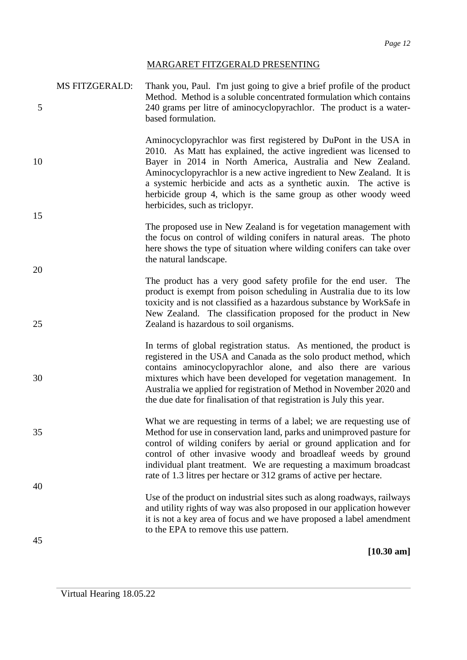### MARGARET FITZGERALD PRESENTING

| 5        | <b>MS FITZGERALD:</b> | Thank you, Paul. I'm just going to give a brief profile of the product<br>Method. Method is a soluble concentrated formulation which contains<br>240 grams per litre of aminocyclopyrachlor. The product is a water-<br>based formulation.                                                                                                                                                                                                            |
|----------|-----------------------|-------------------------------------------------------------------------------------------------------------------------------------------------------------------------------------------------------------------------------------------------------------------------------------------------------------------------------------------------------------------------------------------------------------------------------------------------------|
| 10       |                       | Aminocyclopyrachlor was first registered by DuPont in the USA in<br>2010. As Matt has explained, the active ingredient was licensed to<br>Bayer in 2014 in North America, Australia and New Zealand.<br>Aminocyclopyrachlor is a new active ingredient to New Zealand. It is<br>a systemic herbicide and acts as a synthetic auxin. The active is<br>herbicide group 4, which is the same group as other woody weed<br>herbicides, such as triclopyr. |
| 15<br>20 |                       | The proposed use in New Zealand is for vegetation management with<br>the focus on control of wilding conifers in natural areas. The photo<br>here shows the type of situation where wilding conifers can take over<br>the natural landscape.                                                                                                                                                                                                          |
| 25       |                       | The product has a very good safety profile for the end user. The<br>product is exempt from poison scheduling in Australia due to its low<br>toxicity and is not classified as a hazardous substance by WorkSafe in<br>New Zealand. The classification proposed for the product in New<br>Zealand is hazardous to soil organisms.                                                                                                                      |
| 30       |                       | In terms of global registration status. As mentioned, the product is<br>registered in the USA and Canada as the solo product method, which<br>contains aminocyclopyrachlor alone, and also there are various<br>mixtures which have been developed for vegetation management. In<br>Australia we applied for registration of Method in November 2020 and<br>the due date for finalisation of that registration is July this year.                     |
| 35       |                       | What we are requesting in terms of a label; we are requesting use of<br>Method for use in conservation land, parks and unimproved pasture for<br>control of wilding conifers by aerial or ground application and for<br>control of other invasive woody and broadleaf weeds by ground<br>individual plant treatment. We are requesting a maximum broadcast<br>rate of 1.3 litres per hectare or 312 grams of active per hectare.                      |
| 40<br>45 |                       | Use of the product on industrial sites such as along roadways, railways<br>and utility rights of way was also proposed in our application however<br>it is not a key area of focus and we have proposed a label amendment<br>to the EPA to remove this use pattern.                                                                                                                                                                                   |
|          |                       | $[10.30 \text{ am}]$                                                                                                                                                                                                                                                                                                                                                                                                                                  |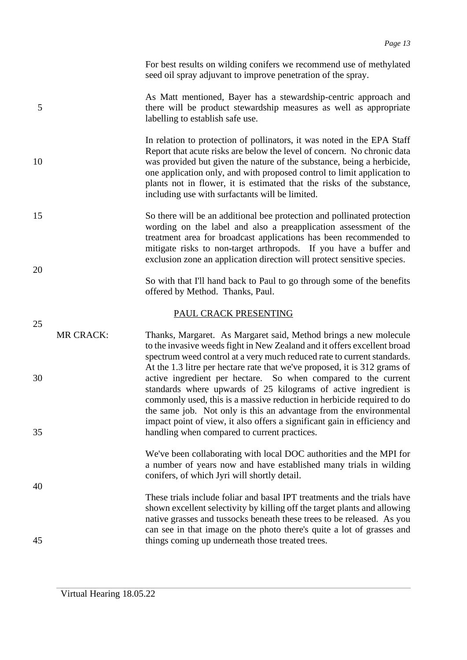For best results on wilding conifers we recommend use of methylated seed oil spray adjuvant to improve penetration of the spray.

- As Matt mentioned, Bayer has a stewardship-centric approach and 5 there will be product stewardship measures as well as appropriate labelling to establish safe use.
- In relation to protection of pollinators, it was noted in the EPA Staff Report that acute risks are below the level of concern. No chronic data 10 was provided but given the nature of the substance, being a herbicide, one application only, and with proposed control to limit application to plants not in flower, it is estimated that the risks of the substance, including use with surfactants will be limited.
- 15 So there will be an additional bee protection and pollinated protection wording on the label and also a preapplication assessment of the treatment area for broadcast applications has been recommended to mitigate risks to non-target arthropods. If you have a buffer and exclusion zone an application direction will protect sensitive species.
	- So with that I'll hand back to Paul to go through some of the benefits offered by Method. Thanks, Paul.

### PAUL CRACK PRESENTING

- MR CRACK: Thanks, Margaret. As Margaret said, Method brings a new molecule to the invasive weeds fight in New Zealand and it offers excellent broad spectrum weed control at a very much reduced rate to current standards. At the 1.3 litre per hectare rate that we've proposed, it is 312 grams of 30 active ingredient per hectare. So when compared to the current standards where upwards of 25 kilograms of active ingredient is commonly used, this is a massive reduction in herbicide required to do the same job. Not only is this an advantage from the environmental impact point of view, it also offers a significant gain in efficiency and 35 handling when compared to current practices.
	- We've been collaborating with local DOC authorities and the MPI for a number of years now and have established many trials in wilding conifers, of which Jyri will shortly detail.
- These trials include foliar and basal IPT treatments and the trials have shown excellent selectivity by killing off the target plants and allowing native grasses and tussocks beneath these trees to be released. As you can see in that image on the photo there's quite a lot of grasses and 45 things coming up underneath those treated trees.

20

25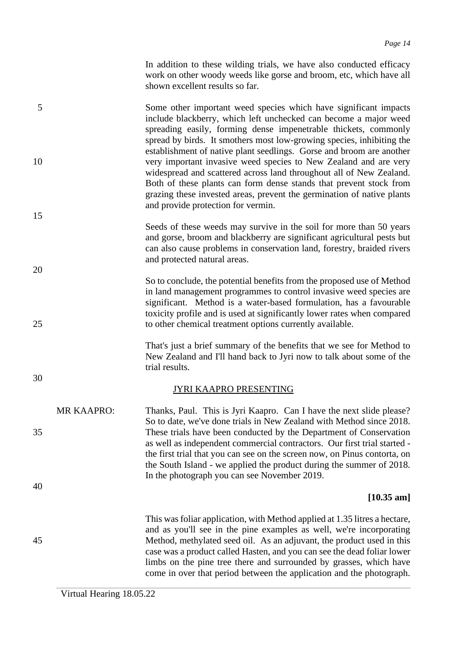In addition to these wilding trials, we have also conducted efficacy work on other woody weeds like gorse and broom, etc, which have all shown excellent results so far.

| 5        |                   | Some other important weed species which have significant impacts<br>include blackberry, which left unchecked can become a major weed<br>spreading easily, forming dense impenetrable thickets, commonly<br>spread by birds. It smothers most low-growing species, inhibiting the                                                                                                                                                                    |
|----------|-------------------|-----------------------------------------------------------------------------------------------------------------------------------------------------------------------------------------------------------------------------------------------------------------------------------------------------------------------------------------------------------------------------------------------------------------------------------------------------|
| 10       |                   | establishment of native plant seedlings. Gorse and broom are another<br>very important invasive weed species to New Zealand and are very<br>widespread and scattered across land throughout all of New Zealand.<br>Both of these plants can form dense stands that prevent stock from<br>grazing these invested areas, prevent the germination of native plants<br>and provide protection for vermin.                                               |
| 15       |                   |                                                                                                                                                                                                                                                                                                                                                                                                                                                     |
|          |                   | Seeds of these weeds may survive in the soil for more than 50 years<br>and gorse, broom and blackberry are significant agricultural pests but<br>can also cause problems in conservation land, forestry, braided rivers<br>and protected natural areas.                                                                                                                                                                                             |
| 20<br>25 |                   | So to conclude, the potential benefits from the proposed use of Method<br>in land management programmes to control invasive weed species are<br>significant. Method is a water-based formulation, has a favourable<br>toxicity profile and is used at significantly lower rates when compared<br>to other chemical treatment options currently available.                                                                                           |
|          |                   | That's just a brief summary of the benefits that we see for Method to<br>New Zealand and I'll hand back to Jyri now to talk about some of the<br>trial results.                                                                                                                                                                                                                                                                                     |
| 30       |                   | <u>JYRI KAAPRO PRESENTING</u>                                                                                                                                                                                                                                                                                                                                                                                                                       |
| 35       | <b>MR KAAPRO:</b> | Thanks, Paul. This is Jyri Kaapro. Can I have the next slide please?<br>So to date, we've done trials in New Zealand with Method since 2018.<br>These trials have been conducted by the Department of Conservation<br>as well as independent commercial contractors. Our first trial started -<br>the first trial that you can see on the screen now, on Pinus contorta, on<br>the South Island - we applied the product during the summer of 2018. |
| 40       |                   | In the photograph you can see November 2019.                                                                                                                                                                                                                                                                                                                                                                                                        |
|          |                   | $[10.35 \text{ am}]$                                                                                                                                                                                                                                                                                                                                                                                                                                |
| 45       |                   | This was foliar application, with Method applied at 1.35 litres a hectare,<br>and as you'll see in the pine examples as well, we're incorporating<br>Method, methylated seed oil. As an adjuvant, the product used in this<br>case was a product called Hasten, and you can see the dead foliar lower<br>limbs on the pine tree there and surrounded by grasses, which have<br>come in over that period between the application and the photograph. |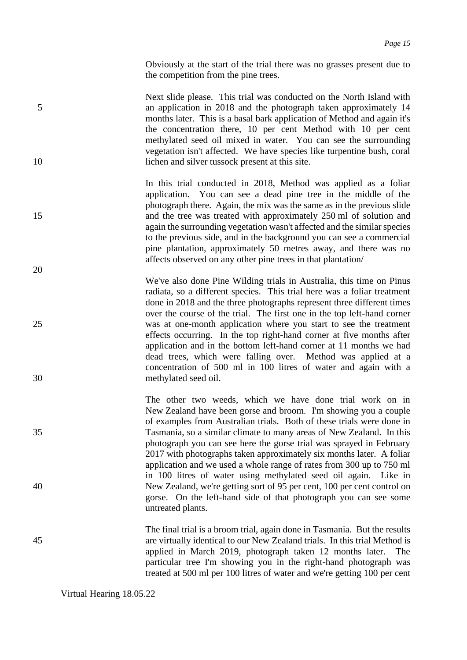Obviously at the start of the trial there was no grasses present due to the competition from the pine trees.

- Next slide please. This trial was conducted on the North Island with 5 an application in 2018 and the photograph taken approximately 14 months later. This is a basal bark application of Method and again it's the concentration there, 10 per cent Method with 10 per cent methylated seed oil mixed in water. You can see the surrounding vegetation isn't affected. We have species like turpentine bush, coral 10 lichen and silver tussock present at this site.
- In this trial conducted in 2018, Method was applied as a foliar application. You can see a dead pine tree in the middle of the photograph there. Again, the mix was the same as in the previous slide 15 and the tree was treated with approximately 250 ml of solution and again the surrounding vegetation wasn't affected and the similar species to the previous side, and in the background you can see a commercial pine plantation, approximately 50 metres away, and there was no affects observed on any other pine trees in that plantation/
- We've also done Pine Wilding trials in Australia, this time on Pinus radiata, so a different species. This trial here was a foliar treatment done in 2018 and the three photographs represent three different times over the course of the trial. The first one in the top left-hand corner 25 was at one-month application where you start to see the treatment effects occurring. In the top right-hand corner at five months after application and in the bottom left-hand corner at 11 months we had dead trees, which were falling over. Method was applied at a concentration of 500 ml in 100 litres of water and again with a 30 methylated seed oil.
- The other two weeds, which we have done trial work on in New Zealand have been gorse and broom. I'm showing you a couple of examples from Australian trials. Both of these trials were done in 35 Tasmania, so a similar climate to many areas of New Zealand. In this photograph you can see here the gorse trial was sprayed in February 2017 with photographs taken approximately six months later. A foliar application and we used a whole range of rates from 300 up to 750 ml in 100 litres of water using methylated seed oil again. Like in 40 New Zealand, we're getting sort of 95 per cent, 100 per cent control on gorse. On the left-hand side of that photograph you can see some untreated plants.
- The final trial is a broom trial, again done in Tasmania. But the results 45 are virtually identical to our New Zealand trials. In this trial Method is applied in March 2019, photograph taken 12 months later. The particular tree I'm showing you in the right-hand photograph was treated at 500 ml per 100 litres of water and we're getting 100 per cent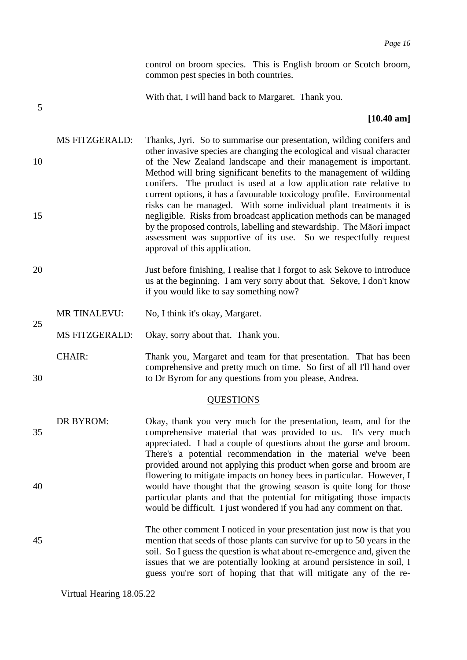control on broom species. This is English broom or Scotch broom, common pest species in both countries.

5

25

With that, I will hand back to Margaret. Thank you.

### **[10.40 am]**

- MS FITZGERALD: Thanks, Jyri. So to summarise our presentation, wilding conifers and other invasive species are changing the ecological and visual character 10 of the New Zealand landscape and their management is important. Method will bring significant benefits to the management of wilding conifers. The product is used at a low application rate relative to current options, it has a favourable toxicology profile. Environmental risks can be managed. With some individual plant treatments it is 15 negligible. Risks from broadcast application methods can be managed by the proposed controls, labelling and stewardship. The Māori impact assessment was supportive of its use. So we respectfully request approval of this application.
- 20 Just before finishing, I realise that I forgot to ask Sekove to introduce us at the beginning. I am very sorry about that. Sekove, I don't know if you would like to say something now?
	- MR TINALEVU: No, I think it's okay, Margaret.
	- MS FITZGERALD: Okay, sorry about that. Thank you.
- CHAIR: Thank you, Margaret and team for that presentation. That has been comprehensive and pretty much on time. So first of all I'll hand over 30 to Dr Byrom for any questions from you please, Andrea.

### **QUESTIONS**

- DR BYROM: Okay, thank you very much for the presentation, team, and for the 35 comprehensive material that was provided to us. It's very much appreciated. I had a couple of questions about the gorse and broom. There's a potential recommendation in the material we've been provided around not applying this product when gorse and broom are flowering to mitigate impacts on honey bees in particular. However, I 40 would have thought that the growing season is quite long for those particular plants and that the potential for mitigating those impacts would be difficult. I just wondered if you had any comment on that.
- The other comment I noticed in your presentation just now is that you 45 mention that seeds of those plants can survive for up to 50 years in the soil. So I guess the question is what about re-emergence and, given the issues that we are potentially looking at around persistence in soil, I guess you're sort of hoping that that will mitigate any of the re-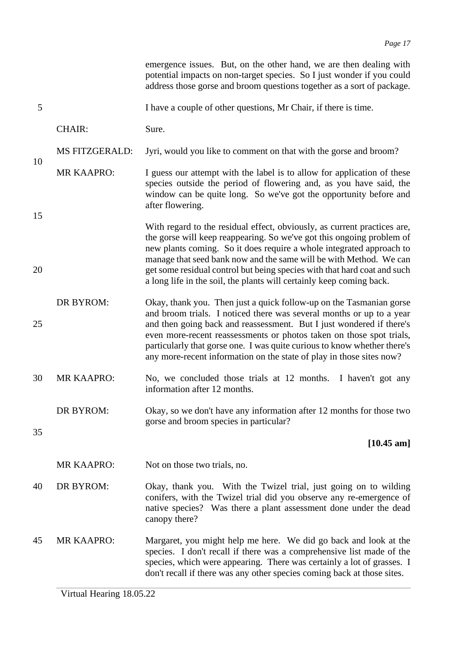|          |                       | emergence issues. But, on the other hand, we are then dealing with<br>potential impacts on non-target species. So I just wonder if you could<br>address those gorse and broom questions together as a sort of package.                                                                                                                                                                                                                              |
|----------|-----------------------|-----------------------------------------------------------------------------------------------------------------------------------------------------------------------------------------------------------------------------------------------------------------------------------------------------------------------------------------------------------------------------------------------------------------------------------------------------|
| 5        |                       | I have a couple of other questions, Mr Chair, if there is time.                                                                                                                                                                                                                                                                                                                                                                                     |
|          | <b>CHAIR:</b>         | Sure.                                                                                                                                                                                                                                                                                                                                                                                                                                               |
| 10       | <b>MS FITZGERALD:</b> | Jyri, would you like to comment on that with the gorse and broom?                                                                                                                                                                                                                                                                                                                                                                                   |
|          | <b>MR KAAPRO:</b>     | I guess our attempt with the label is to allow for application of these<br>species outside the period of flowering and, as you have said, the<br>window can be quite long. So we've got the opportunity before and<br>after flowering.                                                                                                                                                                                                              |
| 15<br>20 |                       | With regard to the residual effect, obviously, as current practices are,<br>the gorse will keep reappearing. So we've got this ongoing problem of<br>new plants coming. So it does require a whole integrated approach to<br>manage that seed bank now and the same will be with Method. We can<br>get some residual control but being species with that hard coat and such<br>a long life in the soil, the plants will certainly keep coming back. |
| 25       | <b>DR BYROM:</b>      | Okay, thank you. Then just a quick follow-up on the Tasmanian gorse<br>and broom trials. I noticed there was several months or up to a year<br>and then going back and reassessment. But I just wondered if there's<br>even more-recent reassessments or photos taken on those spot trials,<br>particularly that gorse one. I was quite curious to know whether there's<br>any more-recent information on the state of play in those sites now?     |
| 30       | <b>MR KAAPRO:</b>     | No, we concluded those trials at 12 months.<br>I haven't got any<br>information after 12 months.                                                                                                                                                                                                                                                                                                                                                    |
| 35       | <b>DR BYROM:</b>      | Okay, so we don't have any information after 12 months for those two<br>gorse and broom species in particular?                                                                                                                                                                                                                                                                                                                                      |
|          |                       | $[10.45 \text{ am}]$                                                                                                                                                                                                                                                                                                                                                                                                                                |
|          | <b>MR KAAPRO:</b>     | Not on those two trials, no.                                                                                                                                                                                                                                                                                                                                                                                                                        |
| 40       | DR BYROM:             | Okay, thank you. With the Twizel trial, just going on to wilding<br>conifers, with the Twizel trial did you observe any re-emergence of<br>native species? Was there a plant assessment done under the dead<br>canopy there?                                                                                                                                                                                                                        |
| 45       | <b>MR KAAPRO:</b>     | Margaret, you might help me here. We did go back and look at the<br>species. I don't recall if there was a comprehensive list made of the<br>species, which were appearing. There was certainly a lot of grasses. I<br>don't recall if there was any other species coming back at those sites.                                                                                                                                                      |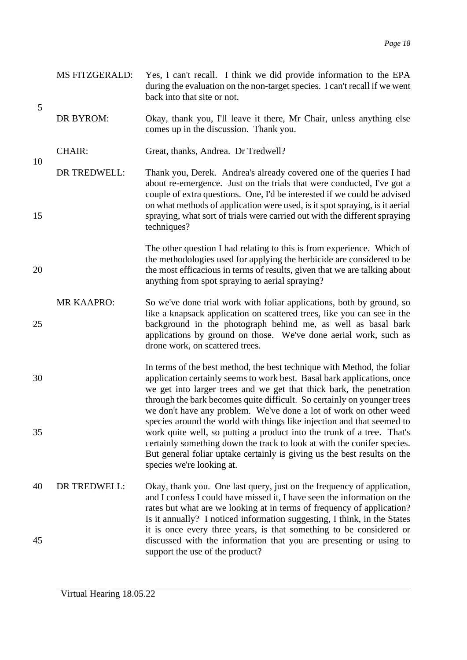|    | <b>MS FITZGERALD:</b> | Yes, I can't recall. I think we did provide information to the EPA<br>during the evaluation on the non-target species. I can't recall if we went<br>back into that site or not.                                                                                                                                                                                                 |
|----|-----------------------|---------------------------------------------------------------------------------------------------------------------------------------------------------------------------------------------------------------------------------------------------------------------------------------------------------------------------------------------------------------------------------|
| 5  | DR BYROM:             | Okay, thank you, I'll leave it there, Mr Chair, unless anything else<br>comes up in the discussion. Thank you.                                                                                                                                                                                                                                                                  |
|    | <b>CHAIR:</b>         | Great, thanks, Andrea. Dr Tredwell?                                                                                                                                                                                                                                                                                                                                             |
| 10 | DR TREDWELL:          | Thank you, Derek. Andrea's already covered one of the queries I had<br>about re-emergence. Just on the trials that were conducted, I've got a<br>couple of extra questions. One, I'd be interested if we could be advised                                                                                                                                                       |
| 15 |                       | on what methods of application were used, is it spot spraying, is it aerial<br>spraying, what sort of trials were carried out with the different spraying<br>techniques?                                                                                                                                                                                                        |
| 20 |                       | The other question I had relating to this is from experience. Which of<br>the methodologies used for applying the herbicide are considered to be<br>the most efficacious in terms of results, given that we are talking about<br>anything from spot spraying to aerial spraying?                                                                                                |
| 25 | <b>MR KAAPRO:</b>     | So we've done trial work with foliar applications, both by ground, so<br>like a knapsack application on scattered trees, like you can see in the<br>background in the photograph behind me, as well as basal bark<br>applications by ground on those. We've done aerial work, such as<br>drone work, on scattered trees.                                                        |
| 30 |                       | In terms of the best method, the best technique with Method, the foliar<br>application certainly seems to work best. Basal bark applications, once<br>we get into larger trees and we get that thick bark, the penetration<br>through the bark becomes quite difficult. So certainly on younger trees<br>we don't have any problem. We've done a lot of work on other weed      |
| 35 |                       | species around the world with things like injection and that seemed to<br>work quite well, so putting a product into the trunk of a tree. That's<br>certainly something down the track to look at with the conifer species.<br>But general foliar uptake certainly is giving us the best results on the<br>species we're looking at.                                            |
| 40 | DR TREDWELL:          | Okay, thank you. One last query, just on the frequency of application,<br>and I confess I could have missed it, I have seen the information on the<br>rates but what are we looking at in terms of frequency of application?<br>Is it annually? I noticed information suggesting, I think, in the States<br>it is once every three years, is that something to be considered or |
| 45 |                       | discussed with the information that you are presenting or using to<br>support the use of the product?                                                                                                                                                                                                                                                                           |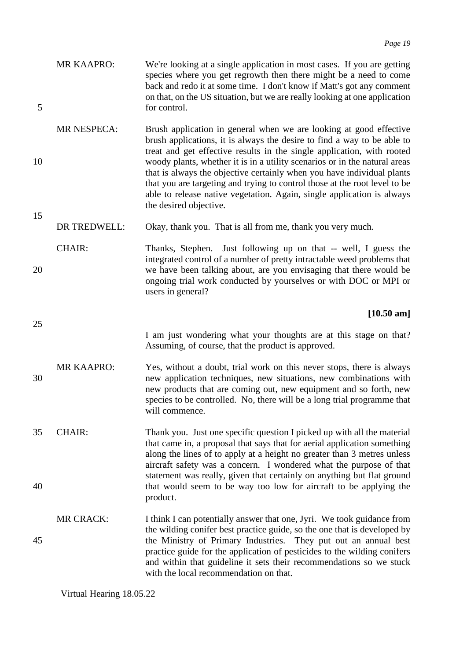|   | <b>MR KAAPRO:</b> | We're looking at a single application in most cases. If you are getting    |
|---|-------------------|----------------------------------------------------------------------------|
|   |                   | species where you get regrowth then there might be a need to come          |
|   |                   | back and redo it at some time. I don't know if Matt's got any comment      |
|   |                   | on that, on the US situation, but we are really looking at one application |
| 5 |                   | for control.                                                               |

- MR NESPECA: Brush application in general when we are looking at good effective brush applications, it is always the desire to find a way to be able to treat and get effective results in the single application, with rooted 10 woody plants, whether it is in a utility scenarios or in the natural areas that is always the objective certainly when you have individual plants that you are targeting and trying to control those at the root level to be able to release native vegetation. Again, single application is always the desired objective.
	- DR TREDWELL: Okay, thank you. That is all from me, thank you very much.

CHAIR: Thanks, Stephen. Just following up on that -- well, I guess the integrated control of a number of pretty intractable weed problems that 20 we have been talking about, are you envisaging that there would be ongoing trial work conducted by yourselves or with DOC or MPI or users in general?

### **[10.50 am]**

I am just wondering what your thoughts are at this stage on that? Assuming, of course, that the product is approved.

- MR KAAPRO: Yes, without a doubt, trial work on this never stops, there is always 30 new application techniques, new situations, new combinations with new products that are coming out, new equipment and so forth, new species to be controlled. No, there will be a long trial programme that will commence.
- 35 CHAIR: Thank you. Just one specific question I picked up with all the material that came in, a proposal that says that for aerial application something along the lines of to apply at a height no greater than 3 metres unless aircraft safety was a concern. I wondered what the purpose of that statement was really, given that certainly on anything but flat ground 40 that would seem to be way too low for aircraft to be applying the product.
- MR CRACK: I think I can potentially answer that one, Jyri. We took guidance from the wilding conifer best practice guide, so the one that is developed by 45 the Ministry of Primary Industries. They put out an annual best practice guide for the application of pesticides to the wilding conifers and within that guideline it sets their recommendations so we stuck with the local recommendation on that.

15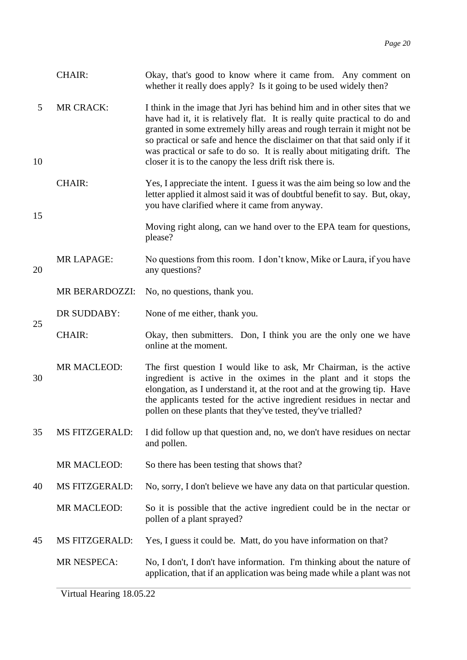|         | <b>CHAIR:</b>         | Okay, that's good to know where it came from. Any comment on<br>whether it really does apply? Is it going to be used widely then?                                                                                                                                                                                                                                                                                                                       |
|---------|-----------------------|---------------------------------------------------------------------------------------------------------------------------------------------------------------------------------------------------------------------------------------------------------------------------------------------------------------------------------------------------------------------------------------------------------------------------------------------------------|
| 5<br>10 | <b>MR CRACK:</b>      | I think in the image that Jyri has behind him and in other sites that we<br>have had it, it is relatively flat. It is really quite practical to do and<br>granted in some extremely hilly areas and rough terrain it might not be<br>so practical or safe and hence the disclaimer on that that said only if it<br>was practical or safe to do so. It is really about mitigating drift. The<br>closer it is to the canopy the less drift risk there is. |
| 15      | <b>CHAIR:</b>         | Yes, I appreciate the intent. I guess it was the aim being so low and the<br>letter applied it almost said it was of doubtful benefit to say. But, okay,<br>you have clarified where it came from anyway.                                                                                                                                                                                                                                               |
|         |                       | Moving right along, can we hand over to the EPA team for questions,<br>please?                                                                                                                                                                                                                                                                                                                                                                          |
| 20      | <b>MR LAPAGE:</b>     | No questions from this room. I don't know, Mike or Laura, if you have<br>any questions?                                                                                                                                                                                                                                                                                                                                                                 |
|         | <b>MR BERARDOZZI:</b> | No, no questions, thank you.                                                                                                                                                                                                                                                                                                                                                                                                                            |
|         | DR SUDDABY:           | None of me either, thank you.                                                                                                                                                                                                                                                                                                                                                                                                                           |
| 25      | <b>CHAIR:</b>         | Okay, then submitters. Don, I think you are the only one we have<br>online at the moment.                                                                                                                                                                                                                                                                                                                                                               |
| 30      | <b>MR MACLEOD:</b>    | The first question I would like to ask, Mr Chairman, is the active<br>ingredient is active in the oximes in the plant and it stops the<br>elongation, as I understand it, at the root and at the growing tip. Have<br>the applicants tested for the active ingredient residues in nectar and<br>pollen on these plants that they've tested, they've trialled?                                                                                           |
| 35      | <b>MS FITZGERALD:</b> | I did follow up that question and, no, we don't have residues on nectar<br>and pollen.                                                                                                                                                                                                                                                                                                                                                                  |
|         | MR MACLEOD:           | So there has been testing that shows that?                                                                                                                                                                                                                                                                                                                                                                                                              |
| 40      | <b>MS FITZGERALD:</b> | No, sorry, I don't believe we have any data on that particular question.                                                                                                                                                                                                                                                                                                                                                                                |
|         | <b>MR MACLEOD:</b>    | So it is possible that the active ingredient could be in the nectar or<br>pollen of a plant sprayed?                                                                                                                                                                                                                                                                                                                                                    |
| 45      | <b>MS FITZGERALD:</b> | Yes, I guess it could be. Matt, do you have information on that?                                                                                                                                                                                                                                                                                                                                                                                        |
|         | <b>MR NESPECA:</b>    | No, I don't, I don't have information. I'm thinking about the nature of<br>application, that if an application was being made while a plant was not                                                                                                                                                                                                                                                                                                     |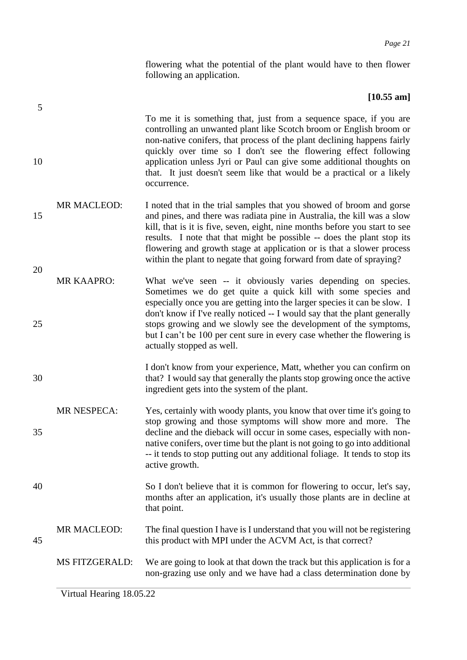flowering what the potential of the plant would have to then flower following an application.

### **[10.55 am]**

To me it is something that, just from a sequence space, if you are controlling an unwanted plant like Scotch broom or English broom or non-native conifers, that process of the plant declining happens fairly quickly over time so I don't see the flowering effect following 10 application unless Jyri or Paul can give some additional thoughts on that. It just doesn't seem like that would be a practical or a likely occurrence.

- MR MACLEOD: I noted that in the trial samples that you showed of broom and gorse 15 and pines, and there was radiata pine in Australia, the kill was a slow kill, that is it is five, seven, eight, nine months before you start to see results. I note that that might be possible -- does the plant stop its flowering and growth stage at application or is that a slower process within the plant to negate that going forward from date of spraying?
- MR KAAPRO: What we've seen -- it obviously varies depending on species. Sometimes we do get quite a quick kill with some species and especially once you are getting into the larger species it can be slow. I don't know if I've really noticed -- I would say that the plant generally 25 stops growing and we slowly see the development of the symptoms, but I can't be 100 per cent sure in every case whether the flowering is actually stopped as well.
- I don't know from your experience, Matt, whether you can confirm on 30 that? I would say that generally the plants stop growing once the active ingredient gets into the system of the plant.
- MR NESPECA: Yes, certainly with woody plants, you know that over time it's going to stop growing and those symptoms will show more and more. The 35 decline and the dieback will occur in some cases, especially with nonnative conifers, over time but the plant is not going to go into additional -- it tends to stop putting out any additional foliage. It tends to stop its active growth.
- 40 So I don't believe that it is common for flowering to occur, let's say, months after an application, it's usually those plants are in decline at that point.

### MR MACLEOD: The final question I have is I understand that you will not be registering 45 this product with MPI under the ACVM Act, is that correct?

MS FITZGERALD: We are going to look at that down the track but this application is for a non-grazing use only and we have had a class determination done by

5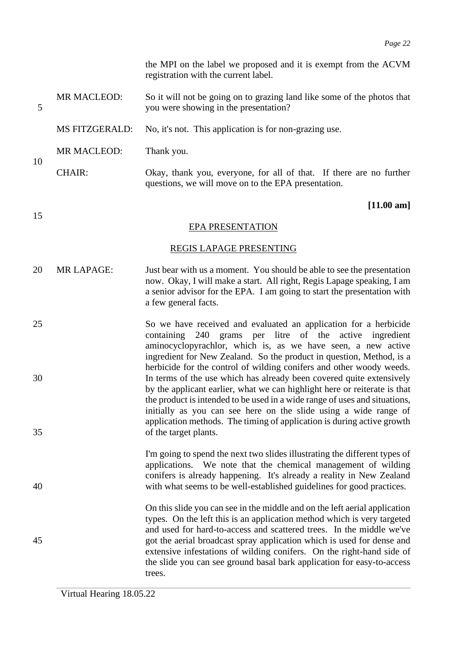the MPI on the label we proposed and it is exempt from the ACVM registration with the current label.

- MR MACLEOD: So it will not be going on to grazing land like some of the photos that 5 you were showing in the presentation?
	- MS FITZGERALD: No, it's not. This application is for non-grazing use.
- MR MACLEOD: Thank you.

10

15

CHAIR: Okay, thank you, everyone, for all of that. If there are no further questions, we will move on to the EPA presentation.

### **[11.00 am]**

### EPA PRESENTATION

### REGIS LAPAGE PRESENTING

- 20 MR LAPAGE: Just bear with us a moment. You should be able to see the presentation now. Okay, I will make a start. All right, Regis Lapage speaking, I am a senior advisor for the EPA. I am going to start the presentation with a few general facts.
- 25 So we have received and evaluated an application for a herbicide containing 240 grams per litre of the active ingredient aminocyclopyrachlor, which is, as we have seen, a new active ingredient for New Zealand. So the product in question, Method, is a herbicide for the control of wilding conifers and other woody weeds. 30 In terms of the use which has already been covered quite extensively by the applicant earlier, what we can highlight here or reiterate is that the product is intended to be used in a wide range of uses and situations, initially as you can see here on the slide using a wide range of application methods. The timing of application is during active growth 35 of the target plants.
- I'm going to spend the next two slides illustrating the different types of applications. We note that the chemical management of wilding conifers is already happening. It's already a reality in New Zealand 40 with what seems to be well-established guidelines for good practices.

On this slide you can see in the middle and on the left aerial application types. On the left this is an application method which is very targeted and used for hard-to-access and scattered trees. In the middle we've 45 got the aerial broadcast spray application which is used for dense and extensive infestations of wilding conifers. On the right-hand side of the slide you can see ground basal bark application for easy-to-access trees.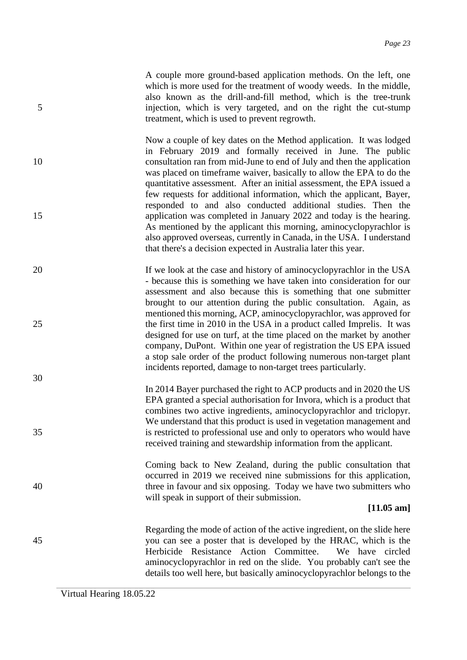A couple more ground-based application methods. On the left, one which is more used for the treatment of woody weeds. In the middle, also known as the drill-and-fill method, which is the tree-trunk 5 injection, which is very targeted, and on the right the cut-stump treatment, which is used to prevent regrowth.

Now a couple of key dates on the Method application. It was lodged in February 2019 and formally received in June. The public 10 consultation ran from mid-June to end of July and then the application was placed on timeframe waiver, basically to allow the EPA to do the quantitative assessment. After an initial assessment, the EPA issued a few requests for additional information, which the applicant, Bayer, responded to and also conducted additional studies. Then the 15 application was completed in January 2022 and today is the hearing. As mentioned by the applicant this morning, aminocyclopyrachlor is also approved overseas, currently in Canada, in the USA. I understand that there's a decision expected in Australia later this year.

20 If we look at the case and history of aminocyclopyrachlor in the USA - because this is something we have taken into consideration for our assessment and also because this is something that one submitter brought to our attention during the public consultation. Again, as mentioned this morning, ACP, aminocyclopyrachlor, was approved for 25 the first time in 2010 in the USA in a product called Imprelis. It was designed for use on turf, at the time placed on the market by another company, DuPont. Within one year of registration the US EPA issued a stop sale order of the product following numerous non-target plant incidents reported, damage to non-target trees particularly.

In 2014 Bayer purchased the right to ACP products and in 2020 the US EPA granted a special authorisation for Invora, which is a product that combines two active ingredients, aminocyclopyrachlor and triclopyr. We understand that this product is used in vegetation management and 35 is restricted to professional use and only to operators who would have received training and stewardship information from the applicant.

Coming back to New Zealand, during the public consultation that occurred in 2019 we received nine submissions for this application, 40 three in favour and six opposing. Today we have two submitters who will speak in support of their submission.

### **[11.05 am]**

Regarding the mode of action of the active ingredient, on the slide here 45 you can see a poster that is developed by the HRAC, which is the Herbicide Resistance Action Committee. We have circled aminocyclopyrachlor in red on the slide. You probably can't see the details too well here, but basically aminocyclopyrachlor belongs to the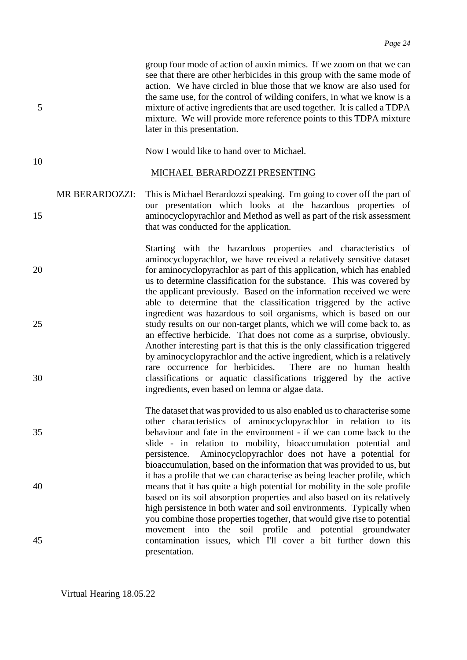group four mode of action of auxin mimics. If we zoom on that we can see that there are other herbicides in this group with the same mode of action. We have circled in blue those that we know are also used for the same use, for the control of wilding conifers, in what we know is a 5 mixture of active ingredients that are used together. It is called a TDPA mixture. We will provide more reference points to this TDPA mixture later in this presentation.

10

Now I would like to hand over to Michael.

MICHAEL BERARDOZZI PRESENTING

MR BERARDOZZI: This is Michael Berardozzi speaking. I'm going to cover off the part of our presentation which looks at the hazardous properties of 15 aminocyclopyrachlor and Method as well as part of the risk assessment that was conducted for the application.

Starting with the hazardous properties and characteristics of aminocyclopyrachlor, we have received a relatively sensitive dataset 20 for aminocyclopyrachlor as part of this application, which has enabled us to determine classification for the substance. This was covered by the applicant previously. Based on the information received we were able to determine that the classification triggered by the active ingredient was hazardous to soil organisms, which is based on our 25 study results on our non-target plants, which we will come back to, as an effective herbicide. That does not come as a surprise, obviously. Another interesting part is that this is the only classification triggered by aminocyclopyrachlor and the active ingredient, which is a relatively rare occurrence for herbicides. There are no human health 30 classifications or aquatic classifications triggered by the active ingredients, even based on lemna or algae data.

The dataset that was provided to us also enabled us to characterise some other characteristics of aminocyclopyrachlor in relation to its 35 behaviour and fate in the environment - if we can come back to the slide - in relation to mobility, bioaccumulation potential and persistence. Aminocyclopyrachlor does not have a potential for bioaccumulation, based on the information that was provided to us, but it has a profile that we can characterise as being leacher profile, which 40 means that it has quite a high potential for mobility in the sole profile based on its soil absorption properties and also based on its relatively high persistence in both water and soil environments. Typically when you combine those properties together, that would give rise to potential movement into the soil profile and potential groundwater 45 contamination issues, which I'll cover a bit further down this presentation.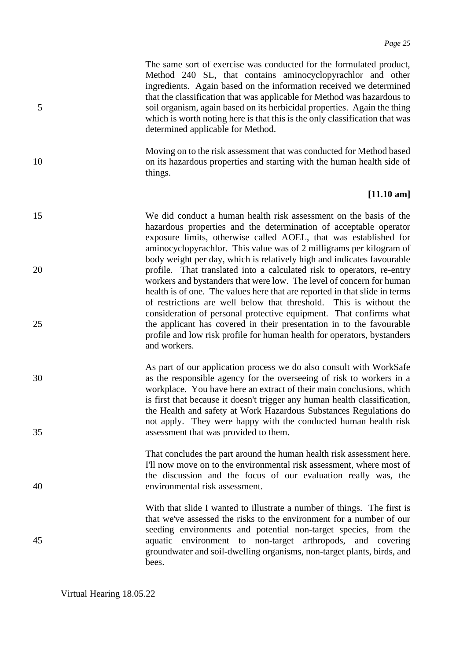The same sort of exercise was conducted for the formulated product, Method 240 SL, that contains aminocyclopyrachlor and other ingredients. Again based on the information received we determined that the classification that was applicable for Method was hazardous to 5 soil organism, again based on its herbicidal properties. Again the thing which is worth noting here is that this is the only classification that was determined applicable for Method.

Moving on to the risk assessment that was conducted for Method based 10 on its hazardous properties and starting with the human health side of things.

### **[11.10 am]**

- 15 We did conduct a human health risk assessment on the basis of the hazardous properties and the determination of acceptable operator exposure limits, otherwise called AOEL, that was established for aminocyclopyrachlor. This value was of 2 milligrams per kilogram of body weight per day, which is relatively high and indicates favourable 20 profile. That translated into a calculated risk to operators, re-entry workers and bystanders that were low. The level of concern for human health is of one. The values here that are reported in that slide in terms of restrictions are well below that threshold. This is without the consideration of personal protective equipment. That confirms what 25 the applicant has covered in their presentation in to the favourable profile and low risk profile for human health for operators, bystanders and workers.
- As part of our application process we do also consult with WorkSafe 30 as the responsible agency for the overseeing of risk to workers in a workplace. You have here an extract of their main conclusions, which is first that because it doesn't trigger any human health classification, the Health and safety at Work Hazardous Substances Regulations do not apply. They were happy with the conducted human health risk 35 assessment that was provided to them.
- That concludes the part around the human health risk assessment here. I'll now move on to the environmental risk assessment, where most of the discussion and the focus of our evaluation really was, the 40 environmental risk assessment.

With that slide I wanted to illustrate a number of things. The first is that we've assessed the risks to the environment for a number of our seeding environments and potential non-target species, from the 45 aquatic environment to non-target arthropods, and covering groundwater and soil-dwelling organisms, non-target plants, birds, and bees.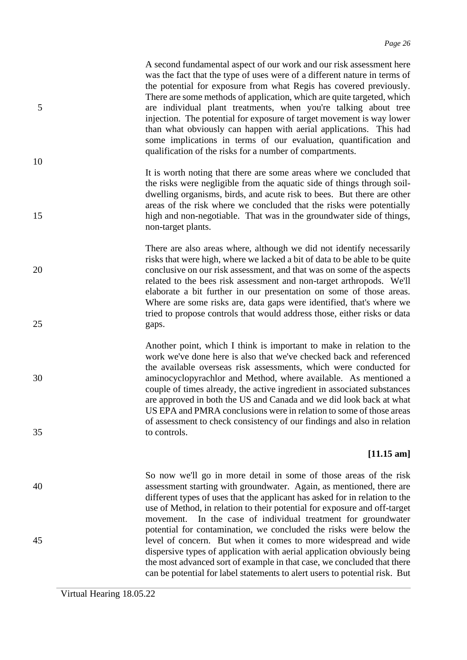A second fundamental aspect of our work and our risk assessment here was the fact that the type of uses were of a different nature in terms of the potential for exposure from what Regis has covered previously. There are some methods of application, which are quite targeted, which 5 are individual plant treatments, when you're talking about tree injection. The potential for exposure of target movement is way lower than what obviously can happen with aerial applications. This had some implications in terms of our evaluation, quantification and qualification of the risks for a number of compartments.

It is worth noting that there are some areas where we concluded that the risks were negligible from the aquatic side of things through soildwelling organisms, birds, and acute risk to bees. But there are other areas of the risk where we concluded that the risks were potentially 15 high and non-negotiable. That was in the groundwater side of things, non-target plants.

There are also areas where, although we did not identify necessarily risks that were high, where we lacked a bit of data to be able to be quite 20 conclusive on our risk assessment, and that was on some of the aspects related to the bees risk assessment and non-target arthropods. We'll elaborate a bit further in our presentation on some of those areas. Where are some risks are, data gaps were identified, that's where we tried to propose controls that would address those, either risks or data 25 gaps.

Another point, which I think is important to make in relation to the work we've done here is also that we've checked back and referenced the available overseas risk assessments, which were conducted for 30 aminocyclopyrachlor and Method, where available. As mentioned a couple of times already, the active ingredient in associated substances are approved in both the US and Canada and we did look back at what US EPA and PMRA conclusions were in relation to some of those areas of assessment to check consistency of our findings and also in relation 35 to controls.

### **[11.15 am]**

So now we'll go in more detail in some of those areas of the risk 40 assessment starting with groundwater. Again, as mentioned, there are different types of uses that the applicant has asked for in relation to the use of Method, in relation to their potential for exposure and off-target movement. In the case of individual treatment for groundwater potential for contamination, we concluded the risks were below the 45 level of concern. But when it comes to more widespread and wide dispersive types of application with aerial application obviously being the most advanced sort of example in that case, we concluded that there can be potential for label statements to alert users to potential risk. But

Virtual Hearing 18.05.22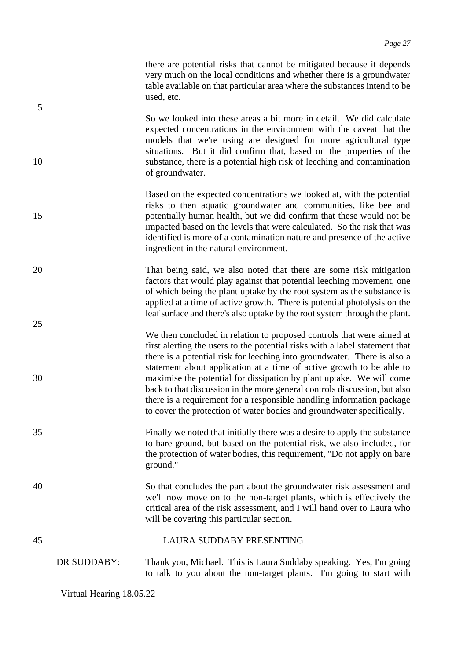there are potential risks that cannot be mitigated because it depends very much on the local conditions and whether there is a groundwater table available on that particular area where the substances intend to be used, etc.

So we looked into these areas a bit more in detail. We did calculate expected concentrations in the environment with the caveat that the models that we're using are designed for more agricultural type situations. But it did confirm that, based on the properties of the 10 substance, there is a potential high risk of leeching and contamination of groundwater.

- Based on the expected concentrations we looked at, with the potential risks to then aquatic groundwater and communities, like bee and 15 potentially human health, but we did confirm that these would not be impacted based on the levels that were calculated. So the risk that was identified is more of a contamination nature and presence of the active ingredient in the natural environment.
- 20 That being said, we also noted that there are some risk mitigation factors that would play against that potential leeching movement, one of which being the plant uptake by the root system as the substance is applied at a time of active growth. There is potential photolysis on the leaf surface and there's also uptake by the root system through the plant.
- We then concluded in relation to proposed controls that were aimed at first alerting the users to the potential risks with a label statement that there is a potential risk for leeching into groundwater. There is also a statement about application at a time of active growth to be able to 30 maximise the potential for dissipation by plant uptake. We will come back to that discussion in the more general controls discussion, but also there is a requirement for a responsible handling information package to cover the protection of water bodies and groundwater specifically.
- 35 Finally we noted that initially there was a desire to apply the substance to bare ground, but based on the potential risk, we also included, for the protection of water bodies, this requirement, "Do not apply on bare ground."
- 40 So that concludes the part about the groundwater risk assessment and we'll now move on to the non-target plants, which is effectively the critical area of the risk assessment, and I will hand over to Laura who will be covering this particular section.

# 45 LAURA SUDDABY PRESENTING

DR SUDDABY: Thank you, Michael. This is Laura Suddaby speaking. Yes, I'm going to talk to you about the non-target plants. I'm going to start with

5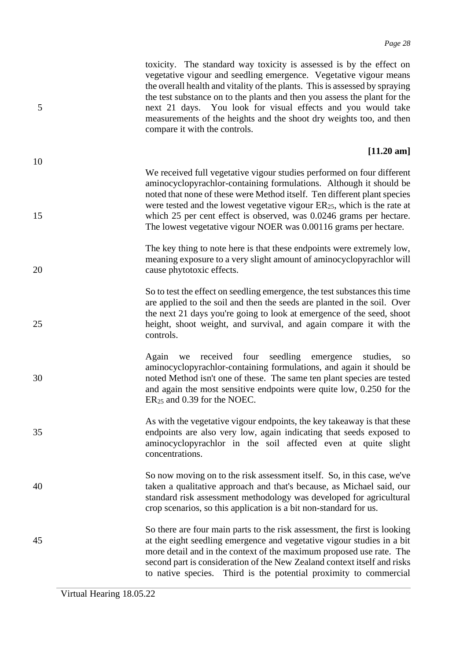|    | toxicity. The standard way toxicity is assessed is by the effect on<br>vegetative vigour and seedling emergence. Vegetative vigour means<br>the overall health and vitality of the plants. This is assessed by spraying<br>the test substance on to the plants and then you assess the plant for the<br>next 21 days. You look for visual effects and you would take<br>measurements of the heights and the shoot dry weights too, and then<br>compare it with the controls. |
|----|------------------------------------------------------------------------------------------------------------------------------------------------------------------------------------------------------------------------------------------------------------------------------------------------------------------------------------------------------------------------------------------------------------------------------------------------------------------------------|
| 10 | $[11.20 \text{ am}]$                                                                                                                                                                                                                                                                                                                                                                                                                                                         |
| 15 | We received full vegetative vigour studies performed on four different<br>aminocyclopyrachlor-containing formulations. Although it should be<br>noted that none of these were Method itself. Ten different plant species<br>were tested and the lowest vegetative vigour $ER_{25}$ , which is the rate at<br>which 25 per cent effect is observed, was 0.0246 grams per hectare.<br>The lowest vegetative vigour NOER was 0.00116 grams per hectare.                         |
| 20 | The key thing to note here is that these endpoints were extremely low,<br>meaning exposure to a very slight amount of aminocyclopyrachlor will<br>cause phytotoxic effects.                                                                                                                                                                                                                                                                                                  |

So to test the effect on seedling emergence, the test substances this time are applied to the soil and then the seeds are planted in the soil. Over the next 21 days you're going to look at emergence of the seed, shoot 25 height, shoot weight, and survival, and again compare it with the controls.

- Again we received four seedling emergence studies, so aminocyclopyrachlor-containing formulations, and again it should be 30 noted Method isn't one of these. The same ten plant species are tested and again the most sensitive endpoints were quite low, 0.250 for the ER<sup>25</sup> and 0.39 for the NOEC.
- As with the vegetative vigour endpoints, the key takeaway is that these 35 endpoints are also very low, again indicating that seeds exposed to aminocyclopyrachlor in the soil affected even at quite slight concentrations.
- So now moving on to the risk assessment itself. So, in this case, we've 40 taken a qualitative approach and that's because, as Michael said, our standard risk assessment methodology was developed for agricultural crop scenarios, so this application is a bit non-standard for us.
- So there are four main parts to the risk assessment, the first is looking 45 at the eight seedling emergence and vegetative vigour studies in a bit more detail and in the context of the maximum proposed use rate. The second part is consideration of the New Zealand context itself and risks to native species. Third is the potential proximity to commercial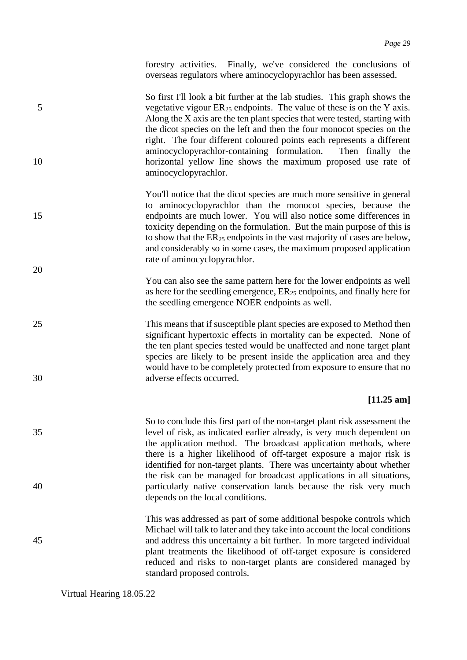forestry activities. Finally, we've considered the conclusions of overseas regulators where aminocyclopyrachlor has been assessed.

So first I'll look a bit further at the lab studies. This graph shows the 5 vegetative vigour ER<sup>25</sup> endpoints. The value of these is on the Y axis. Along the  $X$  axis are the ten plant species that were tested, starting with the dicot species on the left and then the four monocot species on the right. The four different coloured points each represents a different aminocyclopyrachlor-containing formulation. Then finally the 10 horizontal yellow line shows the maximum proposed use rate of aminocyclopyrachlor.

- You'll notice that the dicot species are much more sensitive in general to aminocyclopyrachlor than the monocot species, because the 15 endpoints are much lower. You will also notice some differences in toxicity depending on the formulation. But the main purpose of this is to show that the  $ER_{25}$  endpoints in the vast majority of cases are below, and considerably so in some cases, the maximum proposed application rate of aminocyclopyrachlor.
	- You can also see the same pattern here for the lower endpoints as well as here for the seedling emergence,  $ER_{25}$  endpoints, and finally here for the seedling emergence NOER endpoints as well.
- 25 This means that if susceptible plant species are exposed to Method then significant hypertoxic effects in mortality can be expected. None of the ten plant species tested would be unaffected and none target plant species are likely to be present inside the application area and they would have to be completely protected from exposure to ensure that no 30 adverse effects occurred.

### **[11.25 am]**

So to conclude this first part of the non-target plant risk assessment the 35 level of risk, as indicated earlier already, is very much dependent on the application method. The broadcast application methods, where there is a higher likelihood of off-target exposure a major risk is identified for non-target plants. There was uncertainty about whether the risk can be managed for broadcast applications in all situations, 40 particularly native conservation lands because the risk very much depends on the local conditions.

This was addressed as part of some additional bespoke controls which Michael will talk to later and they take into account the local conditions 45 and address this uncertainty a bit further. In more targeted individual plant treatments the likelihood of off-target exposure is considered reduced and risks to non-target plants are considered managed by standard proposed controls.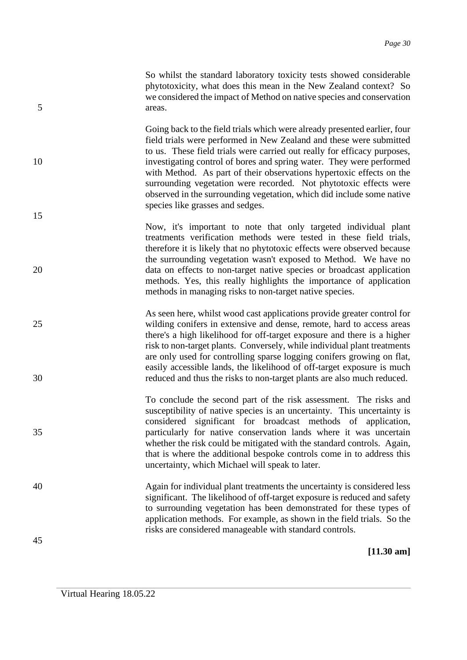So whilst the standard laboratory toxicity tests showed considerable phytotoxicity, what does this mean in the New Zealand context? So we considered the impact of Method on native species and conservation 5 areas.

Going back to the field trials which were already presented earlier, four field trials were performed in New Zealand and these were submitted to us. These field trials were carried out really for efficacy purposes, 10 investigating control of bores and spring water. They were performed with Method. As part of their observations hypertoxic effects on the surrounding vegetation were recorded. Not phytotoxic effects were observed in the surrounding vegetation, which did include some native species like grasses and sedges.

Now, it's important to note that only targeted individual plant treatments verification methods were tested in these field trials, therefore it is likely that no phytotoxic effects were observed because the surrounding vegetation wasn't exposed to Method. We have no 20 data on effects to non-target native species or broadcast application methods. Yes, this really highlights the importance of application methods in managing risks to non-target native species.

As seen here, whilst wood cast applications provide greater control for 25 wilding conifers in extensive and dense, remote, hard to access areas there's a high likelihood for off-target exposure and there is a higher risk to non-target plants. Conversely, while individual plant treatments are only used for controlling sparse logging conifers growing on flat, easily accessible lands, the likelihood of off-target exposure is much 30 reduced and thus the risks to non-target plants are also much reduced.

To conclude the second part of the risk assessment. The risks and susceptibility of native species is an uncertainty. This uncertainty is considered significant for broadcast methods of application, 35 particularly for native conservation lands where it was uncertain whether the risk could be mitigated with the standard controls. Again, that is where the additional bespoke controls come in to address this uncertainty, which Michael will speak to later.

40 Again for individual plant treatments the uncertainty is considered less significant. The likelihood of off-target exposure is reduced and safety to surrounding vegetation has been demonstrated for these types of application methods. For example, as shown in the field trials. So the risks are considered manageable with standard controls.

**[11.30 am]**

15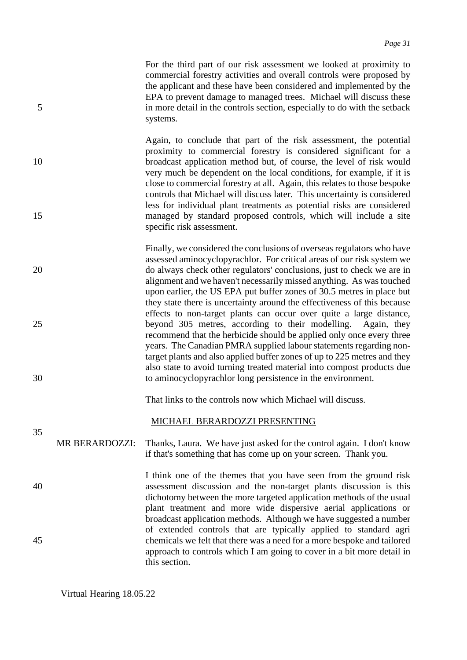For the third part of our risk assessment we looked at proximity to commercial forestry activities and overall controls were proposed by the applicant and these have been considered and implemented by the EPA to prevent damage to managed trees. Michael will discuss these 5 in more detail in the controls section, especially to do with the setback systems.

Again, to conclude that part of the risk assessment, the potential proximity to commercial forestry is considered significant for a 10 broadcast application method but, of course, the level of risk would very much be dependent on the local conditions, for example, if it is close to commercial forestry at all. Again, this relates to those bespoke controls that Michael will discuss later. This uncertainty is considered less for individual plant treatments as potential risks are considered 15 managed by standard proposed controls, which will include a site specific risk assessment.

Finally, we considered the conclusions of overseas regulators who have assessed aminocyclopyrachlor. For critical areas of our risk system we 20 do always check other regulators' conclusions, just to check we are in alignment and we haven't necessarily missed anything. As was touched upon earlier, the US EPA put buffer zones of 30.5 metres in place but they state there is uncertainty around the effectiveness of this because effects to non-target plants can occur over quite a large distance, 25 beyond 305 metres, according to their modelling. Again, they recommend that the herbicide should be applied only once every three years. The Canadian PMRA supplied labour statements regarding nontarget plants and also applied buffer zones of up to 225 metres and they also state to avoid turning treated material into compost products due 30 to aminocyclopyrachlor long persistence in the environment.

That links to the controls now which Michael will discuss.

### MICHAEL BERARDOZZI PRESENTING

- MR BERARDOZZI: Thanks, Laura. We have just asked for the control again. I don't know if that's something that has come up on your screen. Thank you.
- I think one of the themes that you have seen from the ground risk 40 assessment discussion and the non-target plants discussion is this dichotomy between the more targeted application methods of the usual plant treatment and more wide dispersive aerial applications or broadcast application methods. Although we have suggested a number of extended controls that are typically applied to standard agri 45 chemicals we felt that there was a need for a more bespoke and tailored approach to controls which I am going to cover in a bit more detail in this section.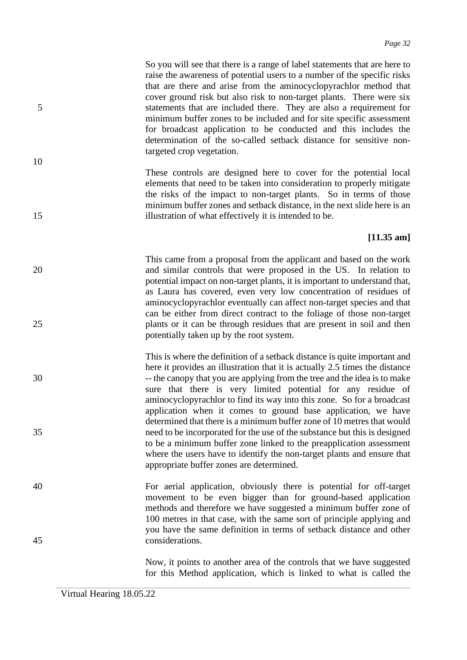So you will see that there is a range of label statements that are here to raise the awareness of potential users to a number of the specific risks that are there and arise from the aminocyclopyrachlor method that cover ground risk but also risk to non-target plants. There were six 5 statements that are included there. They are also a requirement for minimum buffer zones to be included and for site specific assessment for broadcast application to be conducted and this includes the determination of the so-called setback distance for sensitive nontargeted crop vegetation.

These controls are designed here to cover for the potential local elements that need to be taken into consideration to properly mitigate the risks of the impact to non-target plants. So in terms of those minimum buffer zones and setback distance, in the next slide here is an 15 illustration of what effectively it is intended to be.

### **[11.35 am]**

- This came from a proposal from the applicant and based on the work 20 and similar controls that were proposed in the US. In relation to potential impact on non-target plants, it is important to understand that, as Laura has covered, even very low concentration of residues of aminocyclopyrachlor eventually can affect non-target species and that can be either from direct contract to the foliage of those non-target 25 plants or it can be through residues that are present in soil and then potentially taken up by the root system.
- This is where the definition of a setback distance is quite important and here it provides an illustration that it is actually 2.5 times the distance 30 -- the canopy that you are applying from the tree and the idea is to make sure that there is very limited potential for any residue of aminocyclopyrachlor to find its way into this zone. So for a broadcast application when it comes to ground base application, we have determined that there is a minimum buffer zone of 10 metres that would 35 need to be incorporated for the use of the substance but this is designed to be a minimum buffer zone linked to the preapplication assessment where the users have to identify the non-target plants and ensure that appropriate buffer zones are determined.
- 40 For aerial application, obviously there is potential for off-target movement to be even bigger than for ground-based application methods and therefore we have suggested a minimum buffer zone of 100 metres in that case, with the same sort of principle applying and you have the same definition in terms of setback distance and other 45 considerations.

Now, it points to another area of the controls that we have suggested for this Method application, which is linked to what is called the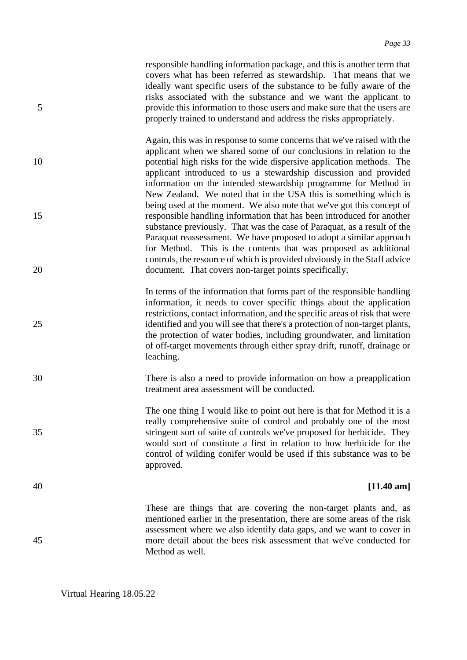responsible handling information package, and this is another term that covers what has been referred as stewardship. That means that we ideally want specific users of the substance to be fully aware of the risks associated with the substance and we want the applicant to 5 provide this information to those users and make sure that the users are properly trained to understand and address the risks appropriately.

Again, this was in response to some concerns that we've raised with the applicant when we shared some of our conclusions in relation to the 10 potential high risks for the wide dispersive application methods. The applicant introduced to us a stewardship discussion and provided information on the intended stewardship programme for Method in New Zealand. We noted that in the USA this is something which is being used at the moment. We also note that we've got this concept of 15 responsible handling information that has been introduced for another substance previously. That was the case of Paraquat, as a result of the Paraquat reassessment. We have proposed to adopt a similar approach for Method. This is the contents that was proposed as additional controls, the resource of which is provided obviously in the Staff advice 20 document. That covers non-target points specifically.

In terms of the information that forms part of the responsible handling information, it needs to cover specific things about the application restrictions, contact information, and the specific areas of risk that were 25 identified and you will see that there's a protection of non-target plants, the protection of water bodies, including groundwater, and limitation of off-target movements through either spray drift, runoff, drainage or leaching.

30 There is also a need to provide information on how a preapplication treatment area assessment will be conducted.

The one thing I would like to point out here is that for Method it is a really comprehensive suite of control and probably one of the most 35 stringent sort of suite of controls we've proposed for herbicide. They would sort of constitute a first in relation to how herbicide for the control of wilding conifer would be used if this substance was to be approved.

### 40 **[11.40 am]**

These are things that are covering the non-target plants and, as mentioned earlier in the presentation, there are some areas of the risk assessment where we also identify data gaps, and we want to cover in 45 more detail about the bees risk assessment that we've conducted for Method as well.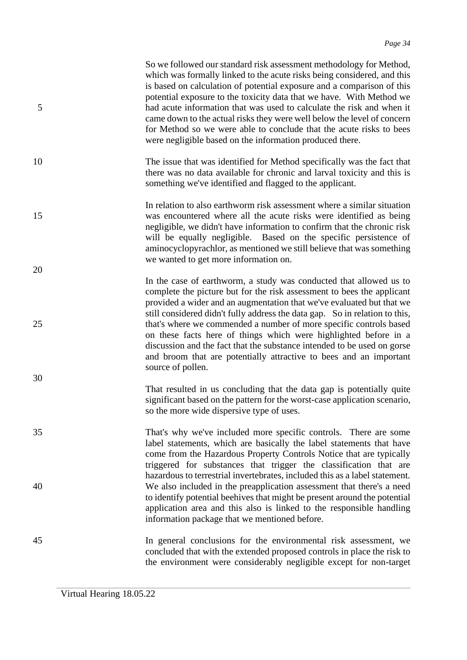| 5  | So we followed our standard risk assessment methodology for Method,<br>which was formally linked to the acute risks being considered, and this<br>is based on calculation of potential exposure and a comparison of this<br>potential exposure to the toxicity data that we have. With Method we<br>had acute information that was used to calculate the risk and when it<br>came down to the actual risks they were well below the level of concern<br>for Method so we were able to conclude that the acute risks to bees<br>were negligible based on the information produced there. |
|----|-----------------------------------------------------------------------------------------------------------------------------------------------------------------------------------------------------------------------------------------------------------------------------------------------------------------------------------------------------------------------------------------------------------------------------------------------------------------------------------------------------------------------------------------------------------------------------------------|
| 10 | The issue that was identified for Method specifically was the fact that<br>there was no data available for chronic and larval toxicity and this is<br>something we've identified and flagged to the applicant.                                                                                                                                                                                                                                                                                                                                                                          |
| 15 | In relation to also earthworm risk assessment where a similar situation<br>was encountered where all the acute risks were identified as being<br>negligible, we didn't have information to confirm that the chronic risk<br>will be equally negligible. Based on the specific persistence of<br>aminocyclopyrachlor, as mentioned we still believe that was something<br>we wanted to get more information on.                                                                                                                                                                          |
| 20 | In the case of earthworm, a study was conducted that allowed us to<br>complete the picture but for the risk assessment to bees the applicant<br>provided a wider and an augmentation that we've evaluated but that we<br>still considered didn't fully address the data gap. So in relation to this,                                                                                                                                                                                                                                                                                    |
| 25 | that's where we commended a number of more specific controls based<br>on these facts here of things which were highlighted before in a<br>discussion and the fact that the substance intended to be used on gorse<br>and broom that are potentially attractive to bees and an important<br>source of pollen.                                                                                                                                                                                                                                                                            |
| 30 | That resulted in us concluding that the data gap is potentially quite<br>significant based on the pattern for the worst-case application scenario,<br>so the more wide dispersive type of uses.                                                                                                                                                                                                                                                                                                                                                                                         |
| 35 | That's why we've included more specific controls. There are some<br>label statements, which are basically the label statements that have<br>come from the Hazardous Property Controls Notice that are typically<br>triggered for substances that trigger the classification that are                                                                                                                                                                                                                                                                                                    |
| 40 | hazardous to terrestrial invertebrates, included this as a label statement.<br>We also included in the preapplication assessment that there's a need<br>to identify potential beenives that might be present around the potential<br>application area and this also is linked to the responsible handling<br>information package that we mentioned before.                                                                                                                                                                                                                              |
| 45 | In general conclusions for the environmental risk assessment, we<br>concluded that with the extended proposed controls in place the risk to<br>the environment were considerably negligible except for non-target                                                                                                                                                                                                                                                                                                                                                                       |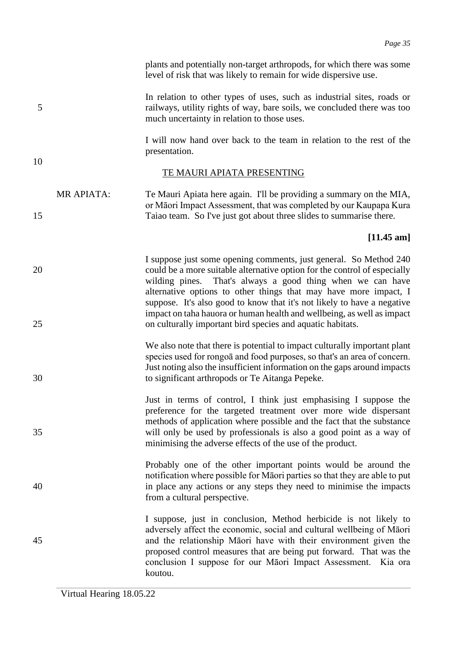plants and potentially non-target arthropods, for which there was some level of risk that was likely to remain for wide dispersive use.

In relation to other types of uses, such as industrial sites, roads or 5 railways, utility rights of way, bare soils, we concluded there was too much uncertainty in relation to those uses.

> I will now hand over back to the team in relation to the rest of the presentation.

> or Māori Impact Assessment, that was completed by our Kaupapa Kura

### TE MAURI APIATA PRESENTING

MR APIATA: Te Mauri Apiata here again. I'll be providing a summary on the MIA,

10

15 Taiao team. So I've just got about three slides to summarise there.

### **[11.45 am]**

- I suppose just some opening comments, just general. So Method 240 20 could be a more suitable alternative option for the control of especially wilding pines. That's always a good thing when we can have alternative options to other things that may have more impact, I suppose. It's also good to know that it's not likely to have a negative impact on taha hauora or human health and wellbeing, as well as impact 25 on culturally important bird species and aquatic habitats.
- We also note that there is potential to impact culturally important plant species used for rongoā and food purposes, so that's an area of concern. Just noting also the insufficient information on the gaps around impacts 30 to significant arthropods or Te Aitanga Pepeke.
- Just in terms of control, I think just emphasising I suppose the preference for the targeted treatment over more wide dispersant methods of application where possible and the fact that the substance 35 will only be used by professionals is also a good point as a way of minimising the adverse effects of the use of the product.
- Probably one of the other important points would be around the notification where possible for Māori parties so that they are able to put 40 in place any actions or any steps they need to minimise the impacts from a cultural perspective.
- I suppose, just in conclusion, Method herbicide is not likely to adversely affect the economic, social and cultural wellbeing of Māori 45 and the relationship Māori have with their environment given the proposed control measures that are being put forward. That was the conclusion I suppose for our Māori Impact Assessment. Kia ora koutou.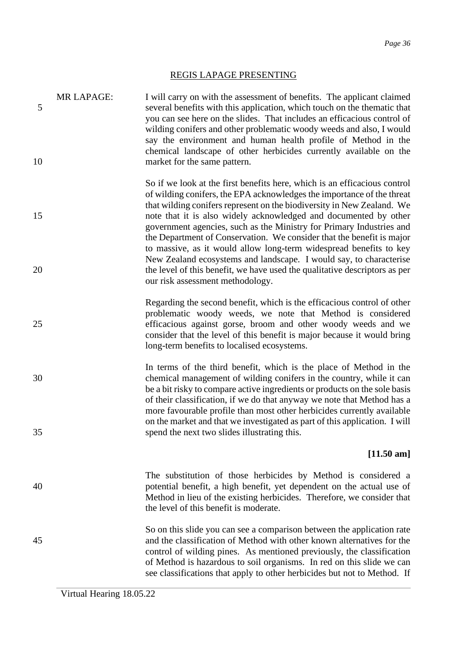## REGIS LAPAGE PRESENTING

| 5        | <b>MR LAPAGE:</b> | I will carry on with the assessment of benefits. The applicant claimed<br>several benefits with this application, which touch on the thematic that<br>you can see here on the slides. That includes an efficacious control of<br>wilding conifers and other problematic woody weeds and also, I would<br>say the environment and human health profile of Method in the<br>chemical landscape of other herbicides currently available on the                                                                                                                                                                                                                                                                      |
|----------|-------------------|------------------------------------------------------------------------------------------------------------------------------------------------------------------------------------------------------------------------------------------------------------------------------------------------------------------------------------------------------------------------------------------------------------------------------------------------------------------------------------------------------------------------------------------------------------------------------------------------------------------------------------------------------------------------------------------------------------------|
| 10       |                   | market for the same pattern.                                                                                                                                                                                                                                                                                                                                                                                                                                                                                                                                                                                                                                                                                     |
| 15<br>20 |                   | So if we look at the first benefits here, which is an efficacious control<br>of wilding conifers, the EPA acknowledges the importance of the threat<br>that wilding conifers represent on the biodiversity in New Zealand. We<br>note that it is also widely acknowledged and documented by other<br>government agencies, such as the Ministry for Primary Industries and<br>the Department of Conservation. We consider that the benefit is major<br>to massive, as it would allow long-term widespread benefits to key<br>New Zealand ecosystems and landscape. I would say, to characterise<br>the level of this benefit, we have used the qualitative descriptors as per<br>our risk assessment methodology. |
| 25       |                   | Regarding the second benefit, which is the efficacious control of other<br>problematic woody weeds, we note that Method is considered<br>efficacious against gorse, broom and other woody weeds and we<br>consider that the level of this benefit is major because it would bring<br>long-term benefits to localised ecosystems.                                                                                                                                                                                                                                                                                                                                                                                 |
| 30<br>35 |                   | In terms of the third benefit, which is the place of Method in the<br>chemical management of wilding conifers in the country, while it can<br>be a bit risky to compare active ingredients or products on the sole basis<br>of their classification, if we do that anyway we note that Method has a<br>more favourable profile than most other herbicides currently available<br>on the market and that we investigated as part of this application. I will<br>spend the next two slides illustrating this.                                                                                                                                                                                                      |
|          |                   | $[11.50 \text{ am}]$                                                                                                                                                                                                                                                                                                                                                                                                                                                                                                                                                                                                                                                                                             |
| 40       |                   | The substitution of those herbicides by Method is considered a<br>potential benefit, a high benefit, yet dependent on the actual use of<br>Method in lieu of the existing herbicides. Therefore, we consider that<br>the level of this benefit is moderate.                                                                                                                                                                                                                                                                                                                                                                                                                                                      |
| 45       |                   | So on this slide you can see a comparison between the application rate<br>and the classification of Method with other known alternatives for the<br>control of wilding pines. As mentioned previously, the classification<br>of Method is hazardous to soil organisms. In red on this slide we can<br>see classifications that apply to other herbicides but not to Method. If                                                                                                                                                                                                                                                                                                                                   |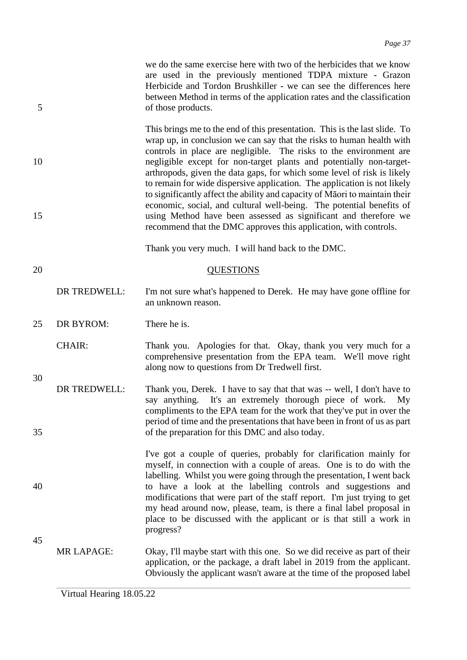we do the same exercise here with two of the herbicides that we know are used in the previously mentioned TDPA mixture - Grazon Herbicide and Tordon Brushkiller - we can see the differences here between Method in terms of the application rates and the classification 5 of those products.

This brings me to the end of this presentation. This is the last slide. To wrap up, in conclusion we can say that the risks to human health with controls in place are negligible. The risks to the environment are 10 negligible except for non-target plants and potentially non-targetarthropods, given the data gaps, for which some level of risk is likely to remain for wide dispersive application. The application is not likely to significantly affect the ability and capacity of Māori to maintain their economic, social, and cultural well-being. The potential benefits of 15 using Method have been assessed as significant and therefore we recommend that the DMC approves this application, with controls.

Thank you very much. I will hand back to the DMC.

### 20 QUESTIONS

DR TREDWELL: I'm not sure what's happened to Derek. He may have gone offline for an unknown reason.

25 DR BYROM: There he is.

30

45

CHAIR: Thank you. Apologies for that. Okay, thank you very much for a comprehensive presentation from the EPA team. We'll move right along now to questions from Dr Tredwell first.

- DR TREDWELL: Thank you, Derek. I have to say that that was -- well, I don't have to say anything. It's an extremely thorough piece of work. My compliments to the EPA team for the work that they've put in over the period of time and the presentations that have been in front of us as part 35 of the preparation for this DMC and also today.
- I've got a couple of queries, probably for clarification mainly for myself, in connection with a couple of areas. One is to do with the labelling. Whilst you were going through the presentation, I went back 40 to have a look at the labelling controls and suggestions and modifications that were part of the staff report. I'm just trying to get my head around now, please, team, is there a final label proposal in place to be discussed with the applicant or is that still a work in progress?
	- MR LAPAGE: Okay, I'll maybe start with this one. So we did receive as part of their application, or the package, a draft label in 2019 from the applicant. Obviously the applicant wasn't aware at the time of the proposed label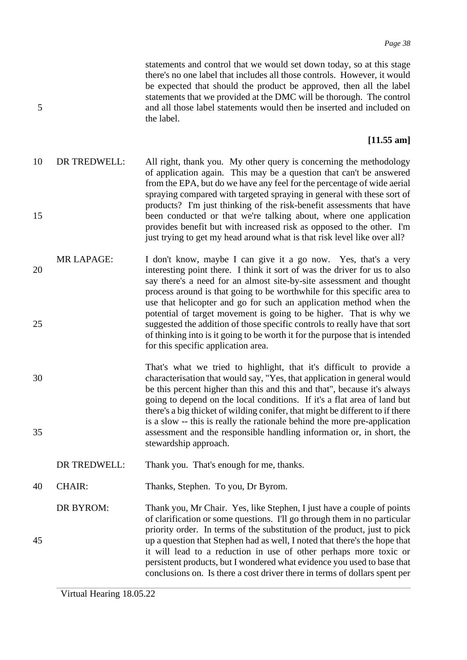statements and control that we would set down today, so at this stage there's no one label that includes all those controls. However, it would be expected that should the product be approved, then all the label statements that we provided at the DMC will be thorough. The control 5 and all those label statements would then be inserted and included on the label.

### **[11.55 am]**

- 10 DR TREDWELL: All right, thank you. My other query is concerning the methodology of application again. This may be a question that can't be answered from the EPA, but do we have any feel for the percentage of wide aerial spraying compared with targeted spraying in general with these sort of products? I'm just thinking of the risk-benefit assessments that have 15 been conducted or that we're talking about, where one application provides benefit but with increased risk as opposed to the other. I'm just trying to get my head around what is that risk level like over all?
- MR LAPAGE: I don't know, maybe I can give it a go now. Yes, that's a very 20 interesting point there. I think it sort of was the driver for us to also say there's a need for an almost site-by-site assessment and thought process around is that going to be worthwhile for this specific area to use that helicopter and go for such an application method when the potential of target movement is going to be higher. That is why we 25 suggested the addition of those specific controls to really have that sort of thinking into is it going to be worth it for the purpose that is intended for this specific application area.
- That's what we tried to highlight, that it's difficult to provide a 30 characterisation that would say, "Yes, that application in general would be this percent higher than this and this and that", because it's always going to depend on the local conditions. If it's a flat area of land but there's a big thicket of wilding conifer, that might be different to if there is a slow -- this is really the rationale behind the more pre-application 35 assessment and the responsible handling information or, in short, the stewardship approach.
	- DR TREDWELL: Thank you. That's enough for me, thanks.
- 40 CHAIR: Thanks, Stephen. To you, Dr Byrom.
- DR BYROM: Thank you, Mr Chair. Yes, like Stephen, I just have a couple of points of clarification or some questions. I'll go through them in no particular priority order. In terms of the substitution of the product, just to pick 45 up a question that Stephen had as well, I noted that there's the hope that it will lead to a reduction in use of other perhaps more toxic or persistent products, but I wondered what evidence you used to base that conclusions on. Is there a cost driver there in terms of dollars spent per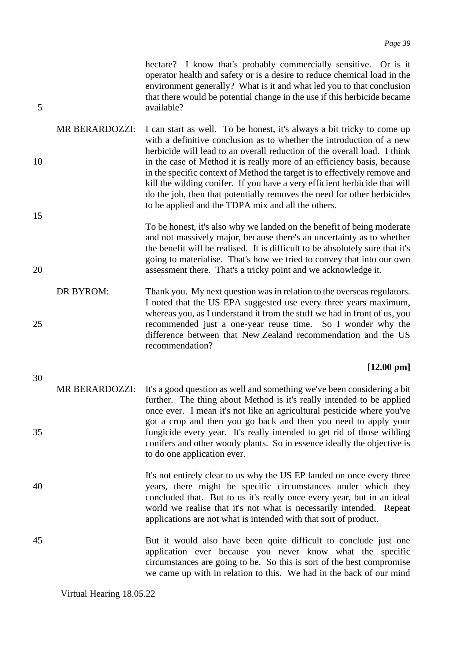hectare? I know that's probably commercially sensitive. Or is it operator health and safety or is a desire to reduce chemical load in the environment generally? What is it and what led you to that conclusion that there would be potential change in the use if this herbicide became 5 available?

- MR BERARDOZZI: I can start as well. To be honest, it's always a bit tricky to come up with a definitive conclusion as to whether the introduction of a new herbicide will lead to an overall reduction of the overall load. I think 10 in the case of Method it is really more of an efficiency basis, because in the specific context of Method the target is to effectively remove and kill the wilding conifer. If you have a very efficient herbicide that will do the job, then that potentially removes the need for other herbicides to be applied and the TDPA mix and all the others.
- To be honest, it's also why we landed on the benefit of being moderate and not massively major, because there's an uncertainty as to whether the benefit will be realised. It is difficult to be absolutely sure that it's going to materialise. That's how we tried to convey that into our own 20 assessment there. That's a tricky point and we acknowledge it.
- DR BYROM: Thank you. My next question was in relation to the overseas regulators. I noted that the US EPA suggested use every three years maximum, whereas you, as I understand it from the stuff we had in front of us, you 25 recommended just a one-year reuse time. So I wonder why the difference between that New Zealand recommendation and the US recommendation?

### **[12.00 pm]**

- MR BERARDOZZI: It's a good question as well and something we've been considering a bit further. The thing about Method is it's really intended to be applied once ever. I mean it's not like an agricultural pesticide where you've got a crop and then you go back and then you need to apply your 35 fungicide every year. It's really intended to get rid of those wilding conifers and other woody plants. So in essence ideally the objective is to do one application ever.
- It's not entirely clear to us why the US EP landed on once every three 40 years, there might be specific circumstances under which they concluded that. But to us it's really once every year, but in an ideal world we realise that it's not what is necessarily intended. Repeat applications are not what is intended with that sort of product.
- 45 But it would also have been quite difficult to conclude just one application ever because you never know what the specific circumstances are going to be. So this is sort of the best compromise we came up with in relation to this. We had in the back of our mind

15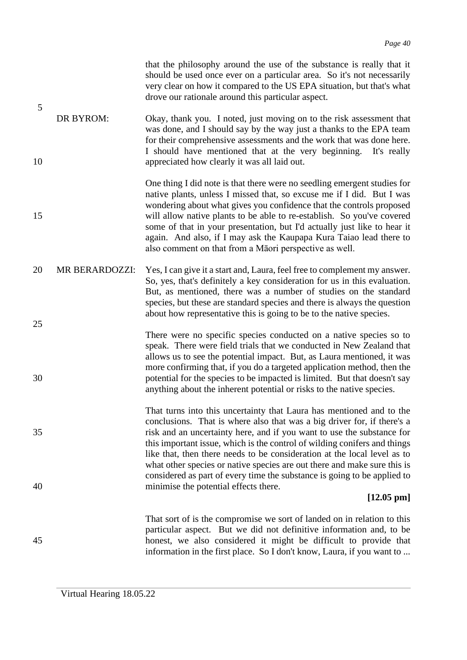| 5        |                | that the philosophy around the use of the substance is really that it<br>should be used once ever on a particular area. So it's not necessarily<br>very clear on how it compared to the US EPA situation, but that's what<br>drove our rationale around this particular aspect.                                                                                                                                                                                                                                 |
|----------|----------------|-----------------------------------------------------------------------------------------------------------------------------------------------------------------------------------------------------------------------------------------------------------------------------------------------------------------------------------------------------------------------------------------------------------------------------------------------------------------------------------------------------------------|
| 10       | DR BYROM:      | Okay, thank you. I noted, just moving on to the risk assessment that<br>was done, and I should say by the way just a thanks to the EPA team<br>for their comprehensive assessments and the work that was done here.<br>I should have mentioned that at the very beginning. It's really<br>appreciated how clearly it was all laid out.                                                                                                                                                                          |
| 15       |                | One thing I did note is that there were no seedling emergent studies for<br>native plants, unless I missed that, so excuse me if I did. But I was<br>wondering about what gives you confidence that the controls proposed<br>will allow native plants to be able to re-establish. So you've covered<br>some of that in your presentation, but I'd actually just like to hear it<br>again. And also, if I may ask the Kaupapa Kura Taiao lead there to<br>also comment on that from a Māori perspective as well. |
| 20       | MR BERARDOZZI: | Yes, I can give it a start and, Laura, feel free to complement my answer.<br>So, yes, that's definitely a key consideration for us in this evaluation.<br>But, as mentioned, there was a number of studies on the standard<br>species, but these are standard species and there is always the question<br>about how representative this is going to be to the native species.                                                                                                                                   |
| 25<br>30 |                | There were no specific species conducted on a native species so to<br>speak. There were field trials that we conducted in New Zealand that<br>allows us to see the potential impact. But, as Laura mentioned, it was<br>more confirming that, if you do a targeted application method, then the<br>potential for the species to be impacted is limited. But that doesn't say<br>anything about the inherent potential or risks to the native species.                                                           |
| 35       |                | That turns into this uncertainty that Laura has mentioned and to the<br>conclusions. That is where also that was a big driver for, if there's a<br>risk and an uncertainty here, and if you want to use the substance for<br>this important issue, which is the control of wilding conifers and things<br>like that, then there needs to be consideration at the local level as to<br>what other species or native species are out there and make sure this is                                                  |
| 40       |                | considered as part of every time the substance is going to be applied to<br>minimise the potential effects there.<br>$[12.05 \text{ pm}]$                                                                                                                                                                                                                                                                                                                                                                       |
| 45       |                | That sort of is the compromise we sort of landed on in relation to this<br>particular aspect. But we did not definitive information and, to be<br>honest, we also considered it might be difficult to provide that<br>information in the first place. So I don't know, Laura, if you want to                                                                                                                                                                                                                    |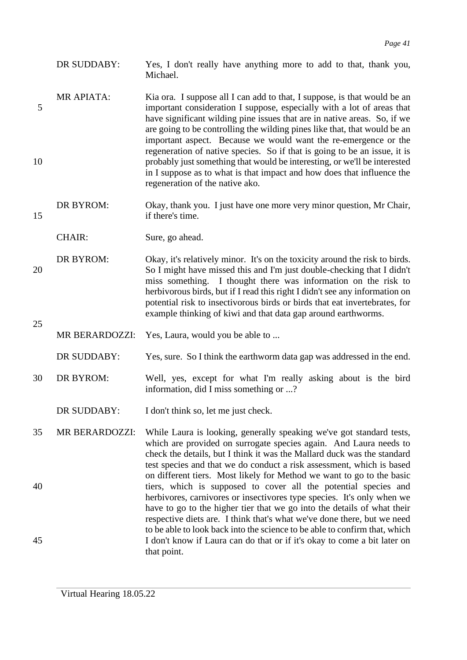- DR SUDDABY: Yes, I don't really have anything more to add to that, thank you, Michael.
- MR APIATA: Kia ora. I suppose all I can add to that, I suppose, is that would be an 5 important consideration I suppose, especially with a lot of areas that have significant wilding pine issues that are in native areas. So, if we are going to be controlling the wilding pines like that, that would be an important aspect. Because we would want the re-emergence or the regeneration of native species. So if that is going to be an issue, it is 10 probably just something that would be interesting, or we'll be interested in I suppose as to what is that impact and how does that influence the regeneration of the native ako.
- DR BYROM: Okay, thank you. I just have one more very minor question, Mr Chair, 15 if there's time.

CHAIR: Sure, go ahead.

- DR BYROM: Okay, it's relatively minor. It's on the toxicity around the risk to birds. 20 So I might have missed this and I'm just double-checking that I didn't miss something. I thought there was information on the risk to herbivorous birds, but if I read this right I didn't see any information on potential risk to insectivorous birds or birds that eat invertebrates, for example thinking of kiwi and that data gap around earthworms.
	- MR BERARDOZZI: Yes, Laura, would you be able to ...
	- DR SUDDABY: Yes, sure. So I think the earthworm data gap was addressed in the end.
- 30 DR BYROM: Well, yes, except for what I'm really asking about is the bird information, did I miss something or ...?
	- DR SUDDABY: I don't think so, let me just check.
- 35 MR BERARDOZZI: While Laura is looking, generally speaking we've got standard tests, which are provided on surrogate species again. And Laura needs to check the details, but I think it was the Mallard duck was the standard test species and that we do conduct a risk assessment, which is based on different tiers. Most likely for Method we want to go to the basic 40 tiers, which is supposed to cover all the potential species and herbivores, carnivores or insectivores type species. It's only when we have to go to the higher tier that we go into the details of what their respective diets are. I think that's what we've done there, but we need to be able to look back into the science to be able to confirm that, which 45 I don't know if Laura can do that or if it's okay to come a bit later on that point.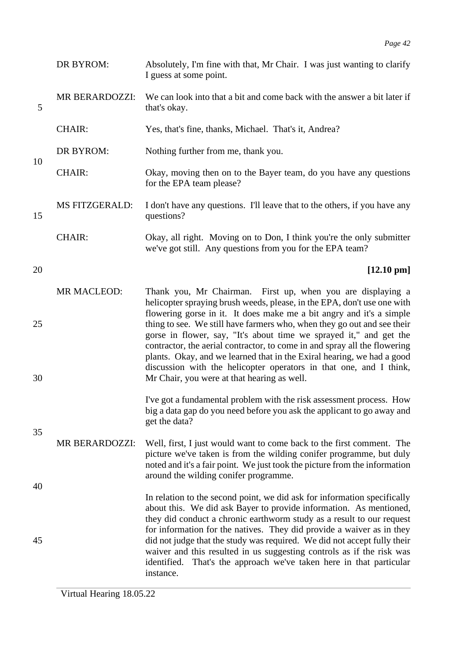|          | DR BYROM:             | Absolutely, I'm fine with that, Mr Chair. I was just wanting to clarify<br>I guess at some point.                                                                                                                                                                                                                                                                                                                                                                                                                                                                                                                                           |
|----------|-----------------------|---------------------------------------------------------------------------------------------------------------------------------------------------------------------------------------------------------------------------------------------------------------------------------------------------------------------------------------------------------------------------------------------------------------------------------------------------------------------------------------------------------------------------------------------------------------------------------------------------------------------------------------------|
| 5        | MR BERARDOZZI:        | We can look into that a bit and come back with the answer a bit later if<br>that's okay.                                                                                                                                                                                                                                                                                                                                                                                                                                                                                                                                                    |
|          | <b>CHAIR:</b>         | Yes, that's fine, thanks, Michael. That's it, Andrea?                                                                                                                                                                                                                                                                                                                                                                                                                                                                                                                                                                                       |
| 10       | DR BYROM:             | Nothing further from me, thank you.                                                                                                                                                                                                                                                                                                                                                                                                                                                                                                                                                                                                         |
|          | <b>CHAIR:</b>         | Okay, moving then on to the Bayer team, do you have any questions<br>for the EPA team please?                                                                                                                                                                                                                                                                                                                                                                                                                                                                                                                                               |
| 15       | <b>MS FITZGERALD:</b> | I don't have any questions. I'll leave that to the others, if you have any<br>questions?                                                                                                                                                                                                                                                                                                                                                                                                                                                                                                                                                    |
|          | <b>CHAIR:</b>         | Okay, all right. Moving on to Don, I think you're the only submitter<br>we've got still. Any questions from you for the EPA team?                                                                                                                                                                                                                                                                                                                                                                                                                                                                                                           |
| 20       |                       | $[12.10 \text{ pm}]$                                                                                                                                                                                                                                                                                                                                                                                                                                                                                                                                                                                                                        |
| 25<br>30 | MR MACLEOD:           | Thank you, Mr Chairman. First up, when you are displaying a<br>helicopter spraying brush weeds, please, in the EPA, don't use one with<br>flowering gorse in it. It does make me a bit angry and it's a simple<br>thing to see. We still have farmers who, when they go out and see their<br>gorse in flower, say, "It's about time we sprayed it," and get the<br>contractor, the aerial contractor, to come in and spray all the flowering<br>plants. Okay, and we learned that in the Exiral hearing, we had a good<br>discussion with the helicopter operators in that one, and I think,<br>Mr Chair, you were at that hearing as well. |
|          |                       | I've got a fundamental problem with the risk assessment process. How<br>big a data gap do you need before you ask the applicant to go away and<br>get the data?                                                                                                                                                                                                                                                                                                                                                                                                                                                                             |
| 35       | <b>MR BERARDOZZI:</b> | Well, first, I just would want to come back to the first comment. The<br>picture we've taken is from the wilding conifer programme, but duly<br>noted and it's a fair point. We just took the picture from the information<br>around the wilding conifer programme.                                                                                                                                                                                                                                                                                                                                                                         |
| 40<br>45 |                       | In relation to the second point, we did ask for information specifically<br>about this. We did ask Bayer to provide information. As mentioned,<br>they did conduct a chronic earthworm study as a result to our request<br>for information for the natives. They did provide a waiver as in they<br>did not judge that the study was required. We did not accept fully their                                                                                                                                                                                                                                                                |
|          |                       | waiver and this resulted in us suggesting controls as if the risk was<br>That's the approach we've taken here in that particular<br>identified.<br>instance.                                                                                                                                                                                                                                                                                                                                                                                                                                                                                |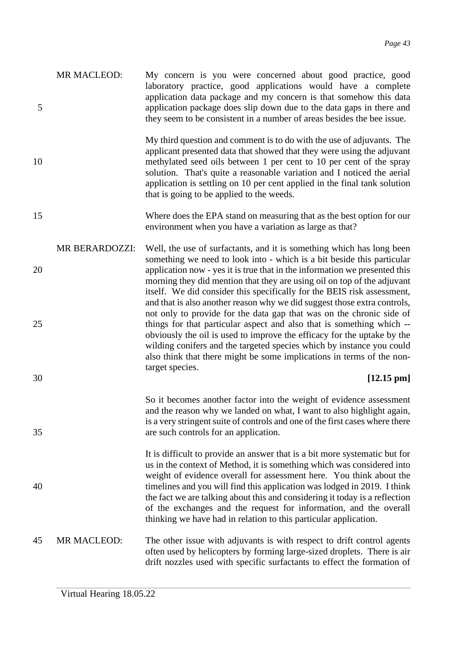|   | MR MACLEOD: | My concern is you were concerned about good practice, good             |
|---|-------------|------------------------------------------------------------------------|
|   |             | laboratory practice, good applications would have a complete           |
|   |             | application data package and my concern is that somehow this data      |
| 5 |             | application package does slip down due to the data gaps in there and   |
|   |             | they seem to be consistent in a number of areas besides the bee issue. |
|   |             |                                                                        |

My third question and comment is to do with the use of adjuvants. The applicant presented data that showed that they were using the adjuvant 10 methylated seed oils between 1 per cent to 10 per cent of the spray solution. That's quite a reasonable variation and I noticed the aerial application is settling on 10 per cent applied in the final tank solution that is going to be applied to the weeds.

- 15 Where does the EPA stand on measuring that as the best option for our environment when you have a variation as large as that?
- MR BERARDOZZI: Well, the use of surfactants, and it is something which has long been something we need to look into - which is a bit beside this particular 20 application now - yes it is true that in the information we presented this morning they did mention that they are using oil on top of the adjuvant itself. We did consider this specifically for the BEIS risk assessment, and that is also another reason why we did suggest those extra controls, not only to provide for the data gap that was on the chronic side of 25 things for that particular aspect and also that is something which -obviously the oil is used to improve the efficacy for the uptake by the wilding conifers and the targeted species which by instance you could also think that there might be some implications in terms of the nontarget species.

### 30 **[12.15 pm]**

So it becomes another factor into the weight of evidence assessment and the reason why we landed on what, I want to also highlight again, is a very stringent suite of controls and one of the first cases where there 35 are such controls for an application.

It is difficult to provide an answer that is a bit more systematic but for us in the context of Method, it is something which was considered into weight of evidence overall for assessment here. You think about the 40 timelines and you will find this application was lodged in 2019. I think the fact we are talking about this and considering it today is a reflection of the exchanges and the request for information, and the overall thinking we have had in relation to this particular application.

45 MR MACLEOD: The other issue with adjuvants is with respect to drift control agents often used by helicopters by forming large-sized droplets. There is air drift nozzles used with specific surfactants to effect the formation of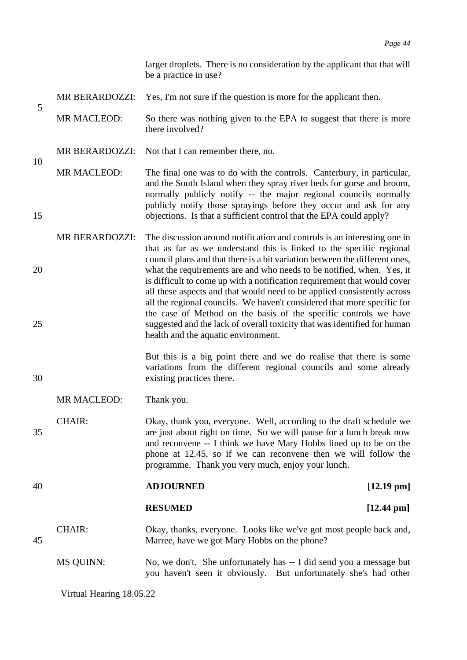larger droplets. There is no consideration by the applicant that that will be a practice in use?

- MR BERARDOZZI: Yes, I'm not sure if the question is more for the applicant then.
- MR MACLEOD: So there was nothing given to the EPA to suggest that there is more there involved?
- MR BERARDOZZI: Not that I can remember there, no.
- MR MACLEOD: The final one was to do with the controls. Canterbury, in particular, and the South Island when they spray river beds for gorse and broom, normally publicly notify -- the major regional councils normally publicly notify those sprayings before they occur and ask for any 15 objections. Is that a sufficient control that the EPA could apply?
- MR BERARDOZZI: The discussion around notification and controls is an interesting one in that as far as we understand this is linked to the specific regional council plans and that there is a bit variation between the different ones, 20 what the requirements are and who needs to be notified, when. Yes, it is difficult to come up with a notification requirement that would cover all these aspects and that would need to be applied consistently across all the regional councils. We haven't considered that more specific for the case of Method on the basis of the specific controls we have 25 suggested and the lack of overall toxicity that was identified for human health and the aquatic environment.

But this is a big point there and we do realise that there is some variations from the different regional councils and some already 30 existing practices there.

MR MACLEOD: Thank you.

CHAIR: Okay, thank you, everyone. Well, according to the draft schedule we 35 are just about right on time. So we will pause for a lunch break now and reconvene -- I think we have Mary Hobbs lined up to be on the phone at 12.45, so if we can reconvene then we will follow the programme. Thank you very much, enjoy your lunch.

40 **ADJOURNED [12.19 pm]**

5

10

**RESUMED [12.44 pm]**

## CHAIR: Okay, thanks, everyone. Looks like we've got most people back and, 45 Marree, have we got Mary Hobbs on the phone?

MS QUINN: No, we don't. She unfortunately has -- I did send you a message but you haven't seen it obviously. But unfortunately she's had other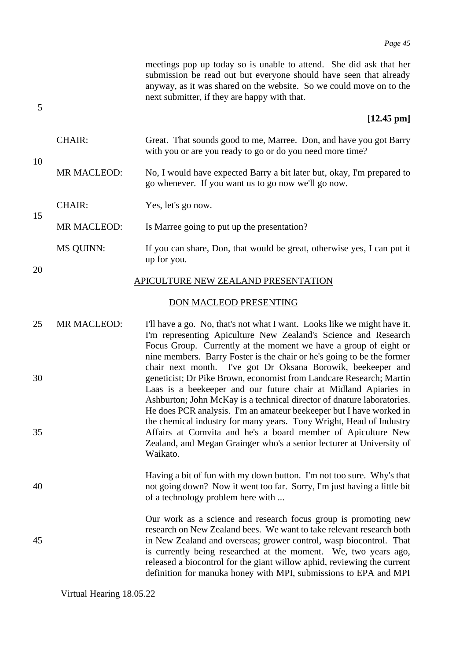|    |                  | meetings pop up today so is unable to attend. She did ask that her<br>submission be read out but everyone should have seen that already<br>anyway, as it was shared on the website. So we could move on to the<br>next submitter, if they are happy with that.                                                                                                                                                                  |
|----|------------------|---------------------------------------------------------------------------------------------------------------------------------------------------------------------------------------------------------------------------------------------------------------------------------------------------------------------------------------------------------------------------------------------------------------------------------|
| 5  |                  | $[12.45 \text{ pm}]$                                                                                                                                                                                                                                                                                                                                                                                                            |
|    | <b>CHAIR:</b>    | Great. That sounds good to me, Marree. Don, and have you got Barry<br>with you or are you ready to go or do you need more time?                                                                                                                                                                                                                                                                                                 |
| 10 | MR MACLEOD:      | No, I would have expected Barry a bit later but, okay, I'm prepared to<br>go whenever. If you want us to go now we'll go now.                                                                                                                                                                                                                                                                                                   |
|    | <b>CHAIR:</b>    | Yes, let's go now.                                                                                                                                                                                                                                                                                                                                                                                                              |
| 15 | MR MACLEOD:      | Is Marree going to put up the presentation?                                                                                                                                                                                                                                                                                                                                                                                     |
|    | <b>MS QUINN:</b> | If you can share, Don, that would be great, otherwise yes, I can put it<br>up for you.                                                                                                                                                                                                                                                                                                                                          |
| 20 |                  | APICULTURE NEW ZEALAND PRESENTATION                                                                                                                                                                                                                                                                                                                                                                                             |
|    |                  | DON MACLEOD PRESENTING                                                                                                                                                                                                                                                                                                                                                                                                          |
| 25 | MR MACLEOD:      | I'll have a go. No, that's not what I want. Looks like we might have it.<br>I'm representing Apiculture New Zealand's Science and Research<br>Focus Group. Currently at the moment we have a group of eight or<br>nine members. Barry Foster is the chair or he's going to be the former                                                                                                                                        |
| 30 |                  | chair next month. I've got Dr Oksana Borowik, beekeeper and<br>geneticist; Dr Pike Brown, economist from Landcare Research; Martin<br>Laas is a beekeeper and our future chair at Midland Apiaries in<br>Ashburton; John McKay is a technical director of dnature laboratories.<br>He does PCR analysis. I'm an amateur beekeeper but I have worked in                                                                          |
| 35 |                  | the chemical industry for many years. Tony Wright, Head of Industry<br>Affairs at Comvita and he's a board member of Apiculture New<br>Zealand, and Megan Grainger who's a senior lecturer at University of<br>Waikato.                                                                                                                                                                                                         |
| 40 |                  | Having a bit of fun with my down button. I'm not too sure. Why's that<br>not going down? Now it went too far. Sorry, I'm just having a little bit<br>of a technology problem here with                                                                                                                                                                                                                                          |
| 45 |                  | Our work as a science and research focus group is promoting new<br>research on New Zealand bees. We want to take relevant research both<br>in New Zealand and overseas; grower control, wasp biocontrol. That<br>is currently being researched at the moment. We, two years ago,<br>released a biocontrol for the giant willow aphid, reviewing the current<br>definition for manuka honey with MPI, submissions to EPA and MPI |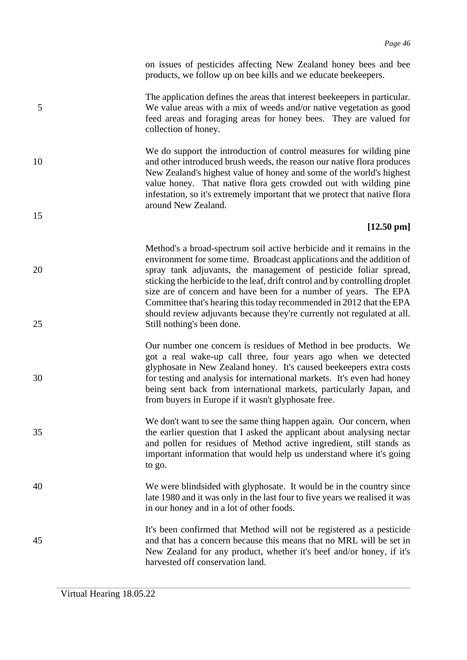on issues of pesticides affecting New Zealand honey bees and bee products, we follow up on bee kills and we educate beekeepers.

The application defines the areas that interest beekeepers in particular. 5 We value areas with a mix of weeds and/or native vegetation as good feed areas and foraging areas for honey bees. They are valued for collection of honey.

We do support the introduction of control measures for wilding pine 10 and other introduced brush weeds, the reason our native flora produces New Zealand's highest value of honey and some of the world's highest value honey. That native flora gets crowded out with wilding pine infestation, so it's extremely important that we protect that native flora around New Zealand.

### **[12.50 pm]**

- Method's a broad-spectrum soil active herbicide and it remains in the environment for some time. Broadcast applications and the addition of 20 spray tank adjuvants, the management of pesticide foliar spread, sticking the herbicide to the leaf, drift control and by controlling droplet size are of concern and have been for a number of years. The EPA Committee that's hearing this today recommended in 2012 that the EPA should review adjuvants because they're currently not regulated at all. 25 Still nothing's been done.
- Our number one concern is residues of Method in bee products. We got a real wake-up call three, four years ago when we detected glyphosate in New Zealand honey. It's caused beekeepers extra costs 30 for testing and analysis for international markets. It's even had honey being sent back from international markets, particularly Japan, and from buyers in Europe if it wasn't glyphosate free.
- We don't want to see the same thing happen again. Our concern, when 35 the earlier question that I asked the applicant about analysing nectar and pollen for residues of Method active ingredient, still stands as important information that would help us understand where it's going to go.
- 40 We were blindsided with glyphosate. It would be in the country since late 1980 and it was only in the last four to five years we realised it was in our honey and in a lot of other foods.
- It's been confirmed that Method will not be registered as a pesticide 45 and that has a concern because this means that no MRL will be set in New Zealand for any product, whether it's beef and/or honey, if it's harvested off conservation land.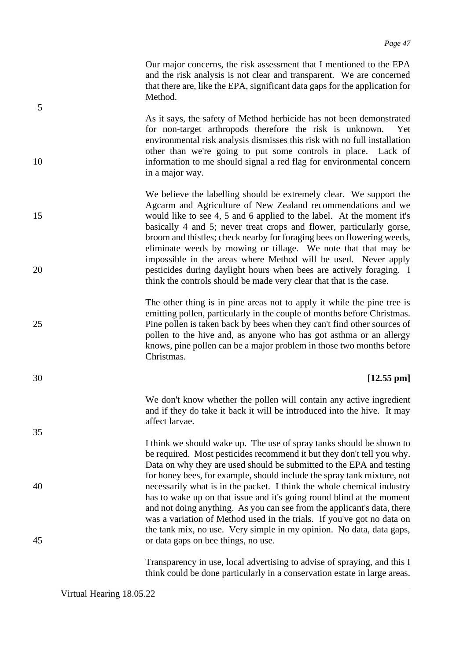Our major concerns, the risk assessment that I mentioned to the EPA and the risk analysis is not clear and transparent. We are concerned that there are, like the EPA, significant data gaps for the application for Method.

As it says, the safety of Method herbicide has not been demonstrated for non-target arthropods therefore the risk is unknown. Yet environmental risk analysis dismisses this risk with no full installation other than we're going to put some controls in place. Lack of 10 information to me should signal a red flag for environmental concern in a major way.

We believe the labelling should be extremely clear. We support the Agcarm and Agriculture of New Zealand recommendations and we 15 would like to see 4, 5 and 6 applied to the label. At the moment it's basically 4 and 5; never treat crops and flower, particularly gorse, broom and thistles; check nearby for foraging bees on flowering weeds, eliminate weeds by mowing or tillage. We note that that may be impossible in the areas where Method will be used. Never apply 20 pesticides during daylight hours when bees are actively foraging. I think the controls should be made very clear that that is the case.

The other thing is in pine areas not to apply it while the pine tree is emitting pollen, particularly in the couple of months before Christmas. 25 Pine pollen is taken back by bees when they can't find other sources of pollen to the hive and, as anyone who has got asthma or an allergy knows, pine pollen can be a major problem in those two months before Christmas.

### 30 **[12.55 pm]**

We don't know whether the pollen will contain any active ingredient and if they do take it back it will be introduced into the hive. It may affect larvae.

I think we should wake up. The use of spray tanks should be shown to be required. Most pesticides recommend it but they don't tell you why. Data on why they are used should be submitted to the EPA and testing for honey bees, for example, should include the spray tank mixture, not 40 necessarily what is in the packet. I think the whole chemical industry has to wake up on that issue and it's going round blind at the moment and not doing anything. As you can see from the applicant's data, there was a variation of Method used in the trials. If you've got no data on the tank mix, no use. Very simple in my opinion. No data, data gaps, 45 or data gaps on bee things, no use.

> Transparency in use, local advertising to advise of spraying, and this I think could be done particularly in a conservation estate in large areas.

5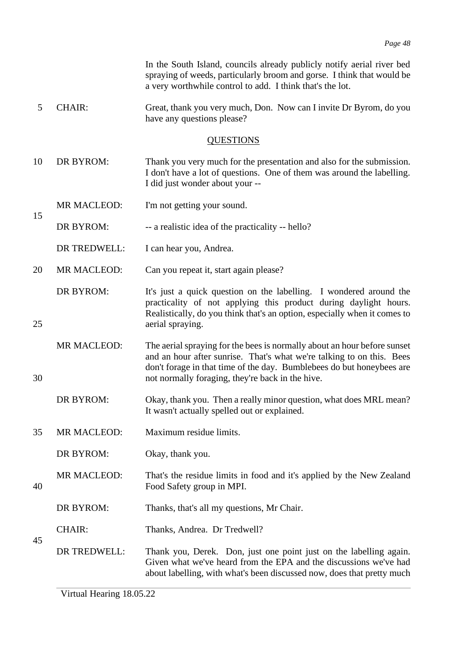In the South Island, councils already publicly notify aerial river bed spraying of weeds, particularly broom and gorse. I think that would be a very worthwhile control to add. I think that's the lot.

5 CHAIR: Great, thank you very much, Don. Now can I invite Dr Byrom, do you have any questions please?

### **QUESTIONS**

10 DR BYROM: Thank you very much for the presentation and also for the submission. I don't have a lot of questions. One of them was around the labelling. I did just wonder about your --

MR MACLEOD: I'm not getting your sound.

DR BYROM: -- a realistic idea of the practicality -- hello?

DR TREDWELL: I can hear you, Andrea.

15

45

20 MR MACLEOD: Can you repeat it, start again please?

DR BYROM: It's just a quick question on the labelling. I wondered around the practicality of not applying this product during daylight hours. Realistically, do you think that's an option, especially when it comes to 25 aerial spraying.

MR MACLEOD: The aerial spraying for the bees is normally about an hour before sunset and an hour after sunrise. That's what we're talking to on this. Bees don't forage in that time of the day. Bumblebees do but honeybees are 30 not normally foraging, they're back in the hive.

DR BYROM: Okay, thank you. Then a really minor question, what does MRL mean? It wasn't actually spelled out or explained.

35 MR MACLEOD: Maximum residue limits.

DR BYROM: Okay, thank you.

MR MACLEOD: That's the residue limits in food and it's applied by the New Zealand 40 Food Safety group in MPI.

DR BYROM: Thanks, that's all my questions, Mr Chair.

CHAIR: Thanks, Andrea. Dr Tredwell?

DR TREDWELL: Thank you, Derek. Don, just one point just on the labelling again. Given what we've heard from the EPA and the discussions we've had about labelling, with what's been discussed now, does that pretty much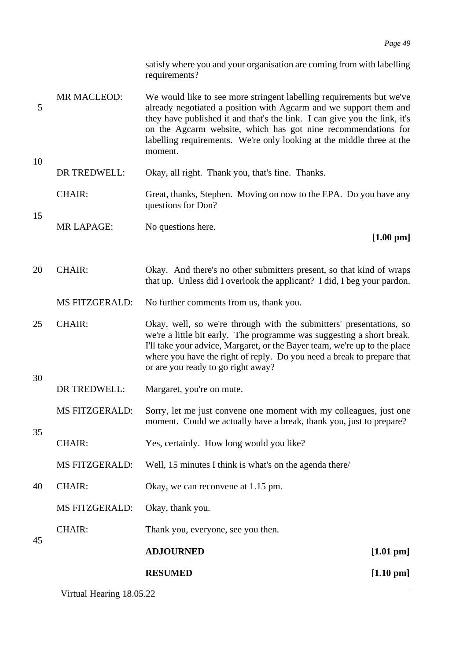satisfy where you and your organisation are coming from with labelling requirements?

- MR MACLEOD: We would like to see more stringent labelling requirements but we've 5 already negotiated a position with Agcarm and we support them and they have published it and that's the link. I can give you the link, it's on the Agcarm website, which has got nine recommendations for labelling requirements. We're only looking at the middle three at the moment.
- DR TREDWELL: Okay, all right. Thank you, that's fine. Thanks. CHAIR: Great, thanks, Stephen. Moving on now to the EPA. Do you have any questions for Don?
- MR LAPAGE: No questions here.

10

15

30

35

### **[1.00 pm]**

- 20 CHAIR: Okay. And there's no other submitters present, so that kind of wraps that up. Unless did I overlook the applicant? I did, I beg your pardon.
	- MS FITZGERALD: No further comments from us, thank you.
- 25 CHAIR: Okay, well, so we're through with the submitters' presentations, so we're a little bit early. The programme was suggesting a short break. I'll take your advice, Margaret, or the Bayer team, we're up to the place where you have the right of reply. Do you need a break to prepare that or are you ready to go right away?
	- DR TREDWELL: Margaret, you're on mute.
	- MS FITZGERALD: Sorry, let me just convene one moment with my colleagues, just one moment. Could we actually have a break, thank you, just to prepare?
- CHAIR: Yes, certainly. How long would you like?
- MS FITZGERALD: Well, 15 minutes I think is what's on the agenda there/
- 40 CHAIR: Okay, we can reconvene at 1.15 pm.

MS FITZGERALD: Okay, thank you.

CHAIR: Thank you, everyone, see you then.

45 **ADJOURNED [1.01 pm] RESUMED [1.10 pm]**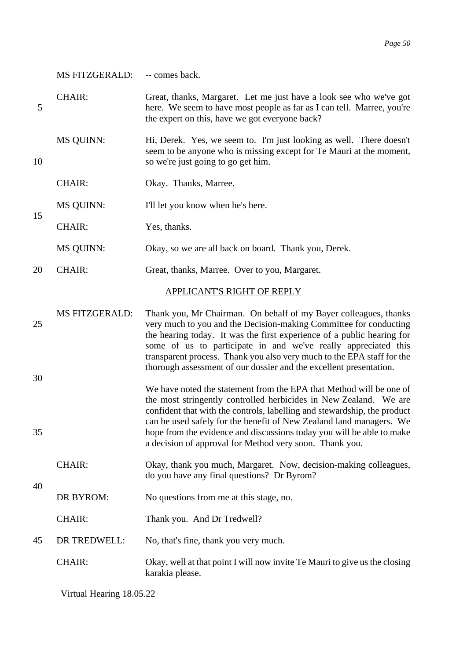|          | <b>MS FITZGERALD:</b> | -- comes back.                                                                                                                                                                                                                                                                                                                                                                                                                    |
|----------|-----------------------|-----------------------------------------------------------------------------------------------------------------------------------------------------------------------------------------------------------------------------------------------------------------------------------------------------------------------------------------------------------------------------------------------------------------------------------|
| 5        | <b>CHAIR:</b>         | Great, thanks, Margaret. Let me just have a look see who we've got<br>here. We seem to have most people as far as I can tell. Marree, you're<br>the expert on this, have we got everyone back?                                                                                                                                                                                                                                    |
| 10       | <b>MS QUINN:</b>      | Hi, Derek. Yes, we seem to. I'm just looking as well. There doesn't<br>seem to be anyone who is missing except for Te Mauri at the moment,<br>so we're just going to go get him.                                                                                                                                                                                                                                                  |
|          | <b>CHAIR:</b>         | Okay. Thanks, Marree.                                                                                                                                                                                                                                                                                                                                                                                                             |
|          | <b>MS QUINN:</b>      | I'll let you know when he's here.                                                                                                                                                                                                                                                                                                                                                                                                 |
| 15       | <b>CHAIR:</b>         | Yes, thanks.                                                                                                                                                                                                                                                                                                                                                                                                                      |
|          | <b>MS QUINN:</b>      | Okay, so we are all back on board. Thank you, Derek.                                                                                                                                                                                                                                                                                                                                                                              |
| 20       | <b>CHAIR:</b>         | Great, thanks, Marree. Over to you, Margaret.                                                                                                                                                                                                                                                                                                                                                                                     |
|          |                       | APPLICANT'S RIGHT OF REPLY                                                                                                                                                                                                                                                                                                                                                                                                        |
| 25<br>30 | <b>MS FITZGERALD:</b> | Thank you, Mr Chairman. On behalf of my Bayer colleagues, thanks<br>very much to you and the Decision-making Committee for conducting<br>the hearing today. It was the first experience of a public hearing for<br>some of us to participate in and we've really appreciated this<br>transparent process. Thank you also very much to the EPA staff for the<br>thorough assessment of our dossier and the excellent presentation. |
| 35       |                       | We have noted the statement from the EPA that Method will be one of<br>the most stringently controlled herbicides in New Zealand. We are<br>confident that with the controls, labelling and stewardship, the product<br>can be used safely for the benefit of New Zealand land managers. We<br>hope from the evidence and discussions today you will be able to make<br>a decision of approval for Method very soon. Thank you.   |
|          | <b>CHAIR:</b>         | Okay, thank you much, Margaret. Now, decision-making colleagues,<br>do you have any final questions? Dr Byrom?                                                                                                                                                                                                                                                                                                                    |
| 40       | DR BYROM:             | No questions from me at this stage, no.                                                                                                                                                                                                                                                                                                                                                                                           |
|          | <b>CHAIR:</b>         | Thank you. And Dr Tredwell?                                                                                                                                                                                                                                                                                                                                                                                                       |
| 45       | DR TREDWELL:          | No, that's fine, thank you very much.                                                                                                                                                                                                                                                                                                                                                                                             |
|          | <b>CHAIR:</b>         | Okay, well at that point I will now invite Te Mauri to give us the closing<br>karakia please.                                                                                                                                                                                                                                                                                                                                     |